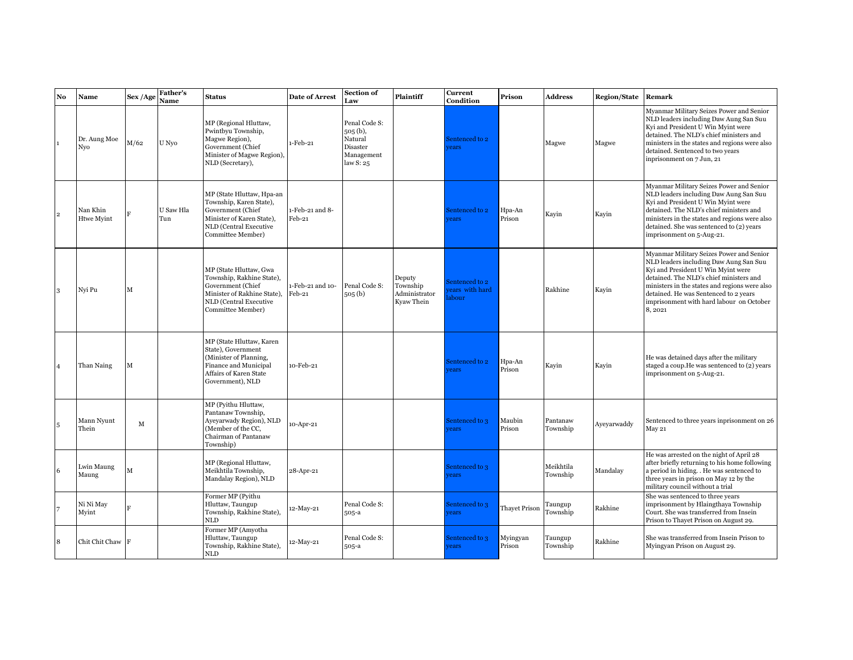| No             | Name                          | Sex /Age    | <b>Father's</b><br>Name | <b>Status</b>                                                                                                                                          | <b>Date of Arrest</b>      | Section of<br>Law                                                             | Plaintiff                                         | Current<br>Condition                       | Prison               | <b>Address</b>        | <b>Region/State</b> | Remark                                                                                                                                                                                                                                                                                                              |
|----------------|-------------------------------|-------------|-------------------------|--------------------------------------------------------------------------------------------------------------------------------------------------------|----------------------------|-------------------------------------------------------------------------------|---------------------------------------------------|--------------------------------------------|----------------------|-----------------------|---------------------|---------------------------------------------------------------------------------------------------------------------------------------------------------------------------------------------------------------------------------------------------------------------------------------------------------------------|
|                | Dr. Aung Moe<br>Nyo           | M/62        | U Nyo                   | MP (Regional Hluttaw,<br>Pwintbyu Township,<br>Magwe Region),<br>Government (Chief<br>Minister of Magwe Region),<br>NLD (Secretary),                   | 1-Feb-21                   | Penal Code S:<br>$505(b)$ ,<br>Natural<br>Disaster<br>Management<br>law S: 25 |                                                   | Sentenced to 2<br><i>rears</i>             |                      | Magwe                 | Magwe               | Myanmar Military Seizes Power and Senior<br>NLD leaders including Daw Aung San Suu<br>Kyi and President U Win Myint were<br>detained. The NLD's chief ministers and<br>ministers in the states and regions were also<br>detained. Sentenced to two years<br>inprisonment on 7 Jun, 21                               |
| $\overline{2}$ | Nan Khin<br><b>Htwe Myint</b> |             | U Saw Hla<br>Tun        | MP (State Hluttaw, Hpa-an<br>Township, Karen State),<br>Government (Chief<br>Minister of Karen State),<br>NLD (Central Executive<br>Committee Member)  | 1-Feb-21 and 8-<br>Feb-21  |                                                                               |                                                   | Sentenced to 2<br>rears                    | Hpa-An<br>Prison     | Kayin                 | Kayin               | Myanmar Military Seizes Power and Senior<br>NLD leaders including Daw Aung San Suu<br>Kyi and President U Win Myint were<br>detained. The NLD's chief ministers and<br>ministers in the states and regions were also<br>detained. She was sentenced to (2) years<br>imprisonment on 5-Aug-21.                       |
| 3              | Nyi Pu                        | $\mathbf M$ |                         | MP (State Hluttaw, Gwa<br>Township, Rakhine State),<br>Government (Chief<br>Minister of Rakhine State),<br>NLD (Central Executive<br>Committee Member) | 1-Feb-21 and 10-<br>Feb-21 | Penal Code S:<br>$505o$ (b)                                                   | Deputy<br>Township<br>Administrator<br>Kyaw Thein | Sentenced to 2<br>rears with hard<br>abour |                      | Rakhine               | Kayin               | Myanmar Military Seizes Power and Senior<br>NLD leaders including Daw Aung San Suu<br>Kyi and President U Win Myint were<br>detained. The NLD's chief ministers and<br>ministers in the states and regions were also<br>detained. He was Sentenced to 2 years<br>imprisonment with hard labour on October<br>8,2021 |
|                | Than Naing                    | M           |                         | MP (State Hluttaw, Karen<br>State), Government<br>(Minister of Planning,<br>Finance and Municipal<br>Affairs of Karen State<br>Government), NLD        | 10-Feb-21                  |                                                                               |                                                   | Sentenced to 2<br>rears                    | Hpa-An<br>Prison     | Kavin                 | Kavin               | He was detained days after the military<br>staged a coup. He was sentenced to (2) years<br>imprisonment on 5-Aug-21.                                                                                                                                                                                                |
| 5              | Mann Nyunt<br>Thein           | M           |                         | MP (Pyithu Hluttaw,<br>Pantanaw Township,<br>Ayeyarwady Region), NLD<br>(Member of the CC,<br>Chairman of Pantanaw<br>Township)                        | 10-Apr-21                  |                                                                               |                                                   | Sentenced to 3<br>rears                    | Maubin<br>Prison     | Pantanaw<br>Township  | Ayeyarwaddy         | Sentenced to three years inprisonment on 26<br>May 21                                                                                                                                                                                                                                                               |
| 6              | Lwin Maung<br>Maung           | М           |                         | MP (Regional Hluttaw,<br>Meikhtila Township,<br>Mandalay Region), NLD                                                                                  | 28-Apr-21                  |                                                                               |                                                   | Sentenced to 3<br><i>rears</i>             |                      | Meikhtila<br>Township | Mandalay            | He was arrested on the night of April 28<br>after briefly returning to his home following<br>a period in hiding. . He was sentenced to<br>three years in prison on May 12 by the<br>military council without a trial                                                                                                |
|                | Ni Ni May<br>Myint            |             |                         | Former MP (Pyithu<br>Hluttaw, Taungup<br>Township, Rakhine State),<br><b>NLD</b>                                                                       | 12-May-21                  | Penal Code S:<br>505-a                                                        |                                                   | Sentenced to 3<br><i>rears</i>             | <b>Thayet Prison</b> | Taungup<br>Township   | Rakhine             | She was sentenced to three years<br>imprisonment by Hlaingthaya Township<br>Court. She was transferred from Insein<br>Prison to Thayet Prison on August 29.                                                                                                                                                         |
| 8              | Chit Chit Chaw F              |             |                         | Former MP (Amyotha<br>Hluttaw, Taungup<br>Township, Rakhine State),<br><b>NLD</b>                                                                      | 12-May-21                  | Penal Code S:<br>505-a                                                        |                                                   | Sentenced to 3<br>rears                    | Myingyan<br>Prison   | Taungup<br>Township   | Rakhine             | She was transferred from Insein Prison to<br>Myingyan Prison on August 29.                                                                                                                                                                                                                                          |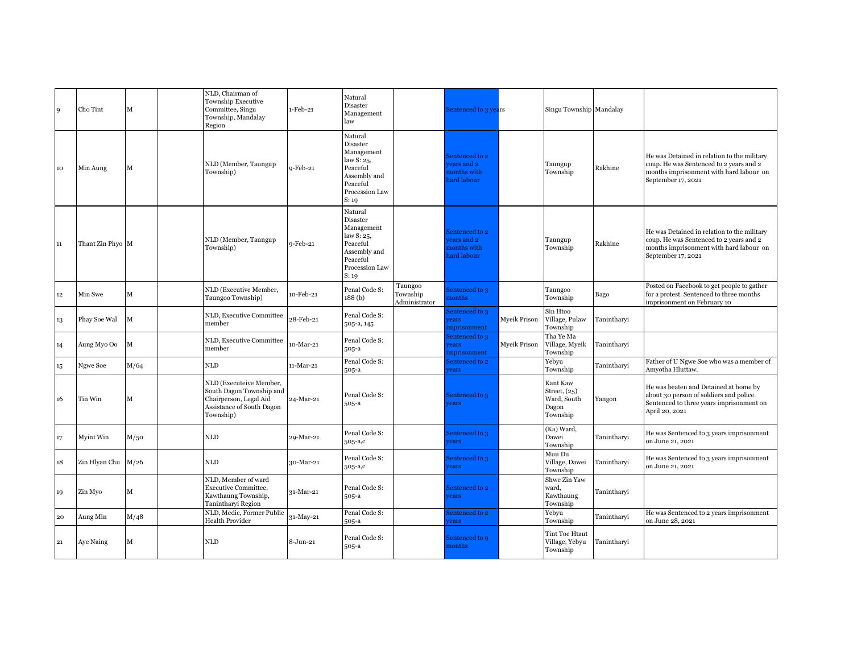|         |                  |              | NLD, Chairman of                                                                                                        |           |                                                                                                                    |                                      |                                                            |              |                                                              |             |                                                                                                                                                         |
|---------|------------------|--------------|-------------------------------------------------------------------------------------------------------------------------|-----------|--------------------------------------------------------------------------------------------------------------------|--------------------------------------|------------------------------------------------------------|--------------|--------------------------------------------------------------|-------------|---------------------------------------------------------------------------------------------------------------------------------------------------------|
| 9       | Cho Tint         | $\mathbf{M}$ | <b>Township Executive</b><br>Committee, Singu<br>Township, Mandalay<br>Region                                           | 1-Feb-21  | Natural<br>Disaster<br>Management<br>law                                                                           |                                      | Sentenced to 3 years                                       |              | Singu Township Mandalay                                      |             |                                                                                                                                                         |
| 10      | Min Aung         | М            | NLD (Member, Taungup<br>Township)                                                                                       | 9-Feb-21  | Natural<br>Disaster<br>Management<br>law S: 25,<br>Peaceful<br>Assembly and<br>Peaceful<br>Procession Law<br>S: 19 |                                      | Sentenced to 2<br>ears and 2<br>nonths with<br>hard labour |              | Taungup<br>Township                                          | Rakhine     | He was Detained in relation to the military<br>coup. He was Sentenced to 2 years and 2<br>months imprisonment with hard labour on<br>September 17, 2021 |
| 11      | Thant Zin Phyo M |              | NLD (Member, Taungup<br>Township)                                                                                       | 9-Feb-21  | Natural<br>Disaster<br>Management<br>law S: 25,<br>Peaceful<br>Assembly and<br>Peaceful<br>Procession Law<br>S: 19 |                                      | Sentenced to 2<br>ears and 2<br>nonths with<br>hard labour |              | Taungup<br>Township                                          | Rakhine     | He was Detained in relation to the military<br>coup. He was Sentenced to 2 years and 2<br>months imprisonment with hard labour on<br>September 17, 2021 |
| $12 \,$ | Min Swe          | M            | NLD (Executive Member,<br>Taungoo Township)                                                                             | 10-Feb-21 | Penal Code S:<br>188(b)                                                                                            | Taungoo<br>Township<br>Administrator | Sentenced to 3<br>nonths                                   |              | Taungoo<br>Township                                          | Bago        | Posted on Facebook to get people to gather<br>for a protest. Sentenced to three months<br>imprisonment on February 10                                   |
| 13      | Phay Soe Wal     | M            | NLD, Executive Committee<br>member                                                                                      | 28-Feb-21 | Penal Code S:<br>505-a, 145                                                                                        |                                      | Sentenced to 3<br>vears<br>mprisonment                     | Myeik Prison | Sin Htoo<br>Village, Pulaw<br>Township                       | Tanintharvi |                                                                                                                                                         |
| 14      | Aung Myo Oo      | $\mathbf M$  | NLD, Executive Committee<br>member                                                                                      | 10-Mar-21 | Penal Code S:<br>505-a                                                                                             |                                      | Sentenced to 3<br>rears<br>mprisonment                     | Myeik Prison | Tha Ye Ma<br>Village, Myeik<br>Township                      | Tanintharyi |                                                                                                                                                         |
| 15      | Ngwe Soe         | M/64         | NLD                                                                                                                     | 11-Mar-21 | Penal Code S:<br>505-a                                                                                             |                                      | Sentenced to 2<br>ears                                     |              | Yebyu<br>Township                                            | Tanintharvi | Father of U Ngwe Soe who was a member of<br>Amyotha Hluttaw.                                                                                            |
| 16      | Tin Win          | M            | NLD (Executeive Member,<br>South Dagon Township and<br>Chairperson, Legal Aid<br>Assistance of South Dagon<br>Township) | 24-Mar-21 | Penal Code S:<br>505-a                                                                                             |                                      | Sentenced to 3<br><i>rears</i>                             |              | Kant Kaw<br>Street, (25)<br>Ward, South<br>Dagon<br>Township | Yangon      | He was beaten and Detained at home by<br>about 30 person of soldiers and police.<br>Sentenced to three years imprisonment on<br>April 20, 2021          |
| 17      | Myint Win        | M/50         | NLD                                                                                                                     | 29-Mar-21 | Penal Code S:<br>505-a,c                                                                                           |                                      | Sentenced to 3<br><i>rears</i>                             |              | (Ka) Ward,<br>Dawei<br>Township                              | Tanintharyi | He was Sentenced to 3 years imprisonment<br>on June 21, 2021                                                                                            |
| 18      | Zin Hlyan Chu    | M/26         | <b>NLD</b>                                                                                                              | 30-Mar-21 | Penal Code S:<br>505-a,c                                                                                           |                                      | Sentenced to 3<br>rears                                    |              | Muu Du<br>Village, Dawei<br>Township                         | Tanintharyi | He was Sentenced to 3 years imprisonment<br>on June 21, 2021                                                                                            |
| 19      | Zin Myo          | М            | NLD, Member of ward<br>Executive Committee,<br>Kawthaung Township,<br>Tanintharyi Region                                | 31-Mar-21 | Penal Code S:<br>505-a                                                                                             |                                      | Sentenced to 2<br>rears                                    |              | Shwe Zin Yaw<br>ward.<br>Kawthaung<br>Township               | Tanintharyi |                                                                                                                                                         |
| 20      | Aung Min         | M/48         | NLD, Medic, Former Public<br>Health Provider                                                                            | 31-May-21 | Penal Code S:<br>505-a                                                                                             |                                      | Sentenced to 2<br>ears                                     |              | Yebyu<br>Township                                            | Tanintharyi | He was Sentenced to 2 years imprisonment<br>on June 28, 2021                                                                                            |
| 21      | Aye Naing        | М            | NLD                                                                                                                     | 8-Jun-21  | Penal Code S:<br>505-a                                                                                             |                                      | Sentenced to 9<br>months                                   |              | Tint Toe Htaut<br>Village, Yebyu<br>Township                 | Tanintharvi |                                                                                                                                                         |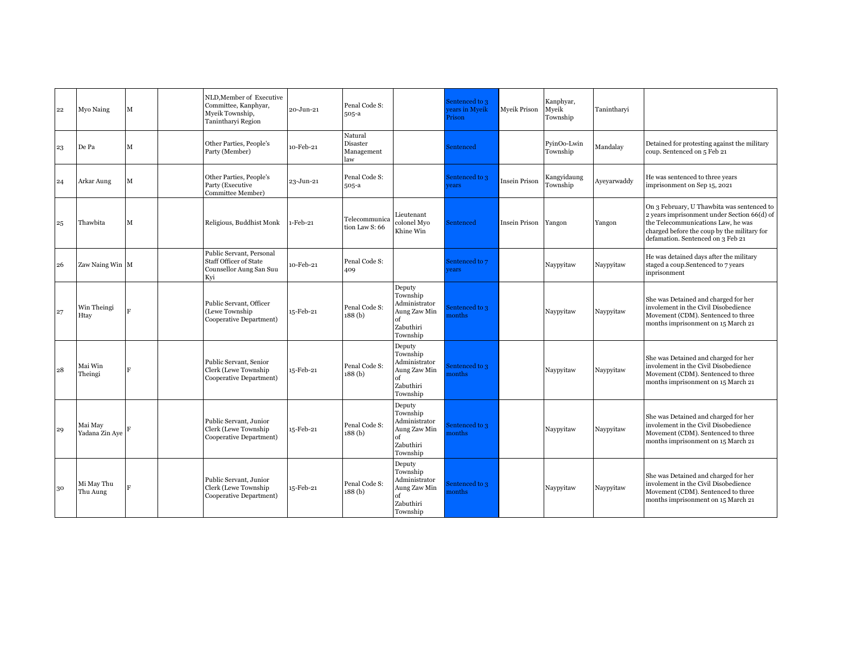| 22 | Myo Naing                 | М            | NLD, Member of Executive<br>Committee, Kanphyar,<br>Myeik Township,<br>Tanintharyi Region   | 20-Jun-21 | Penal Code S:<br>505-a                   |                                                                                    | Sentenced to 3<br>ears in Myeik<br>Prison | <b>Myeik Prison</b>  | Kanphyar,<br>Myeik<br>Township | Tanintharyi |                                                                                                                                                                                                                     |
|----|---------------------------|--------------|---------------------------------------------------------------------------------------------|-----------|------------------------------------------|------------------------------------------------------------------------------------|-------------------------------------------|----------------------|--------------------------------|-------------|---------------------------------------------------------------------------------------------------------------------------------------------------------------------------------------------------------------------|
| 23 | De Pa                     | м            | Other Parties, People's<br>Party (Member)                                                   | 10-Feb-21 | Natural<br>Disaster<br>Management<br>law |                                                                                    | Sentenced                                 |                      | PyinOo-Lwin<br>Township        | Mandalay    | Detained for protesting against the military<br>coup. Sentenced on 5 Feb 21                                                                                                                                         |
| 24 | Arkar Aung                | М            | Other Parties, People's<br>Party (Executive<br>Committee Member)                            | 23-Jun-21 | Penal Code S:<br>$505-a$                 |                                                                                    | Sentenced to 3<br>rears                   | Insein Prison        | Kangyidaung<br>Township        | Ayeyarwaddy | He was sentenced to three years<br>imprisonment on Sep 15, 2021                                                                                                                                                     |
| 25 | Thawbita                  | M            | Religious, Buddhist Monk                                                                    | -Feb-21   | Telecommunica<br>tion Law S: 66          | leutenant<br>colonel Myo<br>Khine Win                                              | Sentenced                                 | <b>Insein Prison</b> | Yangon                         | Yangon      | On 3 February, U Thawbita was sentenced to<br>2 years imprisonment under Section 66(d) of<br>the Telecommunications Law, he was<br>charged before the coup by the military for<br>defamation. Sentenced on 3 Feb 21 |
| 26 | Zaw Naing Win M           |              | Public Servant, Personal<br><b>Staff Officer of State</b><br>Counsellor Aung San Suu<br>Kyi | 0-Feb-21  | Penal Code S:<br>409                     |                                                                                    | Sentenced to 7<br>vears                   |                      | Naypyitaw                      | Naypyitaw   | He was detained days after the military<br>staged a coup.Sentenced to 7 years<br>inprisonment                                                                                                                       |
| 27 | Win Theingi<br>Htay       | Ħ.           | Public Servant, Officer<br>(Lewe Township<br>Cooperative Department)                        | 15-Feb-21 | Penal Code S:<br>188(b)                  | Deputy<br>Township<br>Administrator<br>Aung Zaw Min<br>of<br>Zabuthiri<br>Township | sentenced to 3<br>nonths                  |                      | Naypyitaw                      | Naypyitaw   | She was Detained and charged for her<br>involement in the Civil Disobedience<br>Movement (CDM). Sentenced to three<br>months imprisonment on 15 March 21                                                            |
| 28 | Mai Win<br>Theingi        | Ħ.           | Public Servant, Senior<br>Clerk (Lewe Township<br>Cooperative Department)                   | 15-Feb-21 | Penal Code S:<br>188 (b)                 | Deputy<br>Township<br>Administrator<br>Aung Zaw Min<br>of<br>Zabuthiri<br>Township | Sentenced to 3<br>nonths                  |                      | Naypyitaw                      | Naypyitaw   | She was Detained and charged for her<br>involement in the Civil Disobedience<br>Movement (CDM). Sentenced to three<br>months imprisonment on 15 March 21                                                            |
| 29 | Mai May<br>Yadana Zin Aye |              | Public Servant, Junior<br>Clerk (Lewe Township<br>Cooperative Department)                   | 15-Feb-21 | Penal Code S:<br>188 (b)                 | Deputy<br>Township<br>Administrator<br>Aung Zaw Min<br>of<br>Zabuthiri<br>Township | Sentenced to 3<br>nonths                  |                      | Naypyitaw                      | Naypyitaw   | She was Detained and charged for her<br>involement in the Civil Disobedience<br>Movement (CDM). Sentenced to three<br>months imprisonment on 15 March 21                                                            |
| 30 | Mi May Thu<br>Thu Aung    | $\mathbf{F}$ | Public Servant, Junior<br>Clerk (Lewe Township<br>Cooperative Department)                   | 15-Feb-21 | Penal Code S:<br>188(b)                  | Deputy<br>Township<br>Administrator<br>Aung Zaw Min<br>of<br>Zabuthiri<br>Township | sentenced to 3<br>nonths                  |                      | Naypyitaw                      | Naypyitaw   | She was Detained and charged for her<br>involement in the Civil Disobedience<br>Movement (CDM). Sentenced to three<br>months imprisonment on 15 March 21                                                            |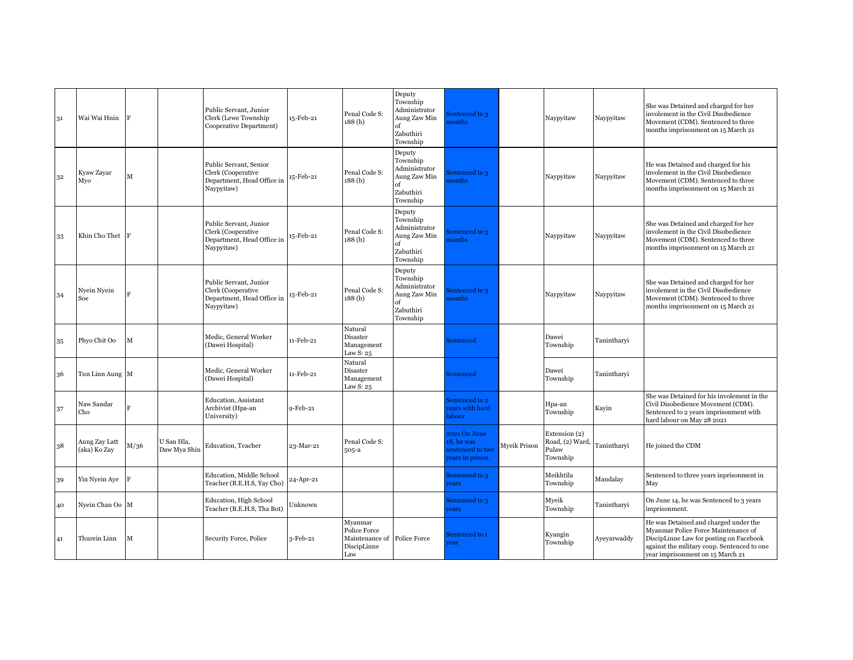| 31 | Wai Wai Hnin                  |      |                            | Public Servant, Junior<br>Clerk (Lewe Township<br>Cooperative Department)                | 15-Feb-21 | Penal Code S:<br>188(b)                                                      | Deputy<br>Township<br>Administrator<br>Aung Zaw Min<br>of<br>Zabuthiri<br>Township | sentenced to 3<br>nonths                                          |              | Naypyitaw                                            | Naypyitaw   | She was Detained and charged for her<br>involement in the Civil Disobedience<br>Movement (CDM). Sentenced to three<br>months imprisonment on 15 March 21                                                   |
|----|-------------------------------|------|----------------------------|------------------------------------------------------------------------------------------|-----------|------------------------------------------------------------------------------|------------------------------------------------------------------------------------|-------------------------------------------------------------------|--------------|------------------------------------------------------|-------------|------------------------------------------------------------------------------------------------------------------------------------------------------------------------------------------------------------|
| 32 | Kyaw Zayar<br>Myo             | м    |                            | Public Servant, Senior<br>Clerk (Cooperative<br>Department, Head Office in<br>Naypyitaw) | 15-Feb-21 | Penal Code S:<br>188 <sub>(b)</sub>                                          | Deputy<br>Township<br>Administrator<br>Aung Zaw Min<br>of<br>Zabuthiri<br>Township | sentenced to 3<br>nonths                                          |              | Naypyitaw                                            | Naypyitaw   | He was Detained and charged for his<br>involement in the Civil Disobedience<br>Movement (CDM). Sentenced to three<br>months imprisonment on 15 March 21                                                    |
| 33 | Khin Cho Thet                 | - IF |                            | Public Servant, Junior<br>Clerk (Cooperative<br>Department, Head Office in<br>Naypyitaw) | 15-Feb-21 | Penal Code S:<br>188 (b)                                                     | Deputy<br>Township<br>Administrator<br>Aung Zaw Min<br>of<br>Zabuthiri<br>Township | sentenced to 3<br>nonths                                          |              | Naypyitaw                                            | Naypyitaw   | She was Detained and charged for her<br>involement in the Civil Disobedience<br>Movement (CDM). Sentenced to three<br>months imprisonment on 15 March 21                                                   |
| 34 | Nyein Nyein<br>Soe            |      |                            | Public Servant, Junior<br>Clerk (Cooperative<br>Department, Head Office in<br>Naypyitaw) | 15-Feb-21 | Penal Code S:<br>188 <sub>(b)</sub>                                          | Deputy<br>Township<br>Administrator<br>Aung Zaw Min<br>of<br>Zabuthiri<br>Township | sentenced to 3<br>nonths                                          |              | Naypyitaw                                            | Naypyitaw   | She was Detained and charged for her<br>involement in the Civil Disobedience<br>Movement (CDM). Sentenced to three<br>months imprisonment on 15 March 21                                                   |
| 35 | Phyo Chit Oo                  | м    |                            | Medic, General Worker<br>(Dawei Hospital)                                                | 11-Feb-21 | Natural<br>Disaster<br>Management<br>Law S: 25                               |                                                                                    | Sentenced                                                         |              | Dawei<br>Township                                    | Tanintharvi |                                                                                                                                                                                                            |
| 36 | Tun Linn Aung M               |      |                            | Medic, General Worker<br>(Dawei Hospital)                                                | 11-Feb-21 | Natural<br>Disaster<br>Management<br>Law S: 25                               |                                                                                    | Sentenced                                                         |              | Dawei<br>Township                                    | Tanintharyi |                                                                                                                                                                                                            |
| 37 | Naw Sandar<br>Cho             |      |                            | Education, Assistant<br>Archivist (Hpa-an<br>University)                                 | 9-Feb-21  |                                                                              |                                                                                    | Sentenced to 2<br>ears with hard<br>abour                         |              | Hpa-an<br>Township                                   | Kayin       | She was Detained for his involement in the<br>Civil Disobedience Movement (CDM).<br>Sentenced to 2 years imprisonment with<br>hard labour on May 28 2021                                                   |
| 38 | Aung Zay Latt<br>(aka) Ko Zay | M/36 | U San Hla,<br>Daw Mya Shin | Education, Teacher                                                                       | 23-Mar-21 | Penal Code S:<br>$505-a$                                                     |                                                                                    | 2021 On June<br>18, he was<br>sentenced to two<br>ears in prison. | Myeik Prison | Extension (2)<br>Road, (2) Ward<br>Pulaw<br>Township | Tanintharyi | He joined the CDM                                                                                                                                                                                          |
| 39 | Yin Nyein Aye                 |      |                            | Education, Middle School<br>Teacher (B.E.H.S, Yay Cho)                                   | 24-Apr-21 |                                                                              |                                                                                    | Sentenced to 3<br>ears                                            |              | Meikhtila<br>Township                                | Mandalay    | Sentenced to three years inprisonment in<br>May                                                                                                                                                            |
| 40 | Nyein Chan Oo M               |      |                            | Education, High School<br>Teacher (B.E.H.S, Tha Bot)                                     | Unknown   |                                                                              |                                                                                    | Sentenced to 3<br>ears                                            |              | Myeik<br>Township                                    | Tanintharvi | On June 14, he was Sentenced to 3 years<br>imprisonment.                                                                                                                                                   |
| 41 | Thurein Linn                  | М    |                            | Security Force, Police                                                                   | 3-Feb-21  | Mvanmar<br>Police Force<br>Maintenance of Police Force<br>DiscipLinne<br>Law |                                                                                    | Sentenced to 1<br>ear                                             |              | Kyangin<br>Township                                  | Ayeyarwaddy | He was Detained and charged under the<br>Myanmar Police Force Maintenance of<br>DiscipLinne Law for posting on Facebook<br>against the military coup. Sentenced to one<br>year imprisonment on 15 March 21 |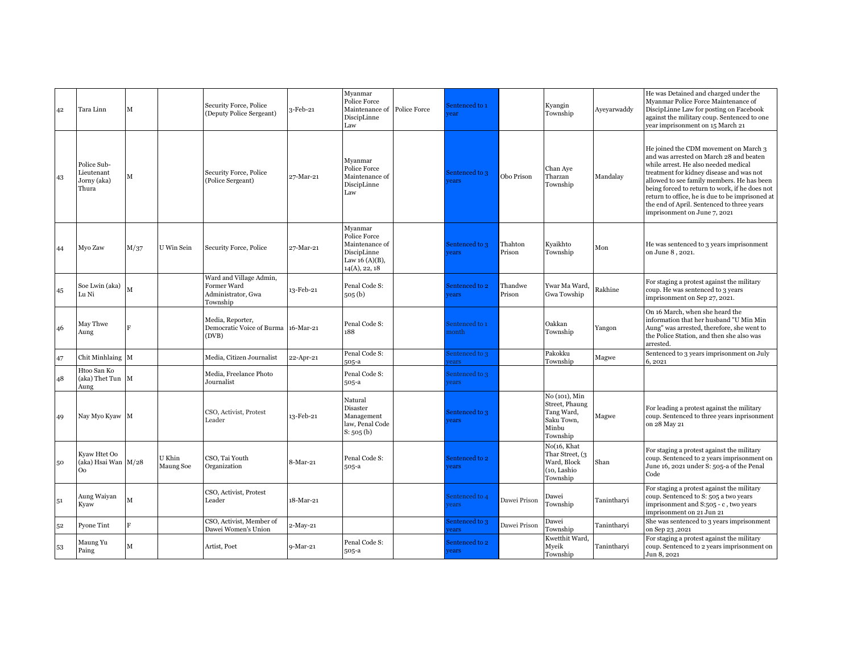| 42 | Tara Linn                                             | м    |                     | Security Force, Police<br>(Deputy Police Sergeant)                       | 3-Feb-21   | Myanmar<br>Police Force<br>Maintenance of Police Force<br>DiscipLinne<br>Law                   | Sentenced to 1<br>ear          |                   | Kyangin<br>Township                                                              | Ayeyarwaddy | He was Detained and charged under the<br>Myanmar Police Force Maintenance of<br>DiscipLinne Law for posting on Facebook<br>against the military coup. Sentenced to one<br>year imprisonment on 15 March 21                                                                                                                                                                                            |
|----|-------------------------------------------------------|------|---------------------|--------------------------------------------------------------------------|------------|------------------------------------------------------------------------------------------------|--------------------------------|-------------------|----------------------------------------------------------------------------------|-------------|-------------------------------------------------------------------------------------------------------------------------------------------------------------------------------------------------------------------------------------------------------------------------------------------------------------------------------------------------------------------------------------------------------|
| 43 | Police Sub-<br>Lieutenant<br>Jorny (aka)<br>Thura     | М    |                     | Security Force, Police<br>(Police Sergeant)                              | 27-Mar-21  | Myanmar<br>Police Force<br>Maintenance of<br>DiscipLinne<br>Law                                | Sentenced to 3<br>rears        | Obo Prison        | Chan Aye<br>Tharzan<br>Township                                                  | Mandalay    | He joined the CDM movement on March 3<br>and was arrested on March 28 and beaten<br>while arrest. He also needed medical<br>treatment for kidney disease and was not<br>allowed to see family members. He has been<br>being forced to return to work, if he does not<br>return to office, he is due to be imprisoned at<br>the end of April. Sentenced to three years<br>imprisonment on June 7, 2021 |
| 44 | Myo Zaw                                               | M/37 | U Win Sein          | Security Force, Police                                                   | 27-Mar-21  | Myanmar<br>Police Force<br>Maintenance of<br>DiscipLinne<br>Law 16 $(A)(B)$ ,<br>14(A), 22, 18 | Sentenced to 3<br>rears        | Thahton<br>Prison | Kyaikhto<br>Township                                                             | Mon         | He was sentenced to 3 years imprisonment<br>on June 8, 2021.                                                                                                                                                                                                                                                                                                                                          |
| 45 | Soe Lwin (aka)<br>Lu Ni                               | М    |                     | Ward and Village Admin,<br>Former Ward<br>Administrator, Gwa<br>Township | 13-Feb-21  | Penal Code S:<br>505 <sub>6</sub>                                                              | Sentenced to 2<br><b>rears</b> | Thandwe<br>Prison | Ywar Ma Ward,<br>Gwa Towship                                                     | Rakhine     | For staging a protest against the military<br>coup. He was sentenced to 3 years<br>imprisonment on Sep 27, 2021.                                                                                                                                                                                                                                                                                      |
| 46 | May Thwe<br>Aung                                      |      |                     | Media, Reporter,<br>Democratic Voice of Burma<br>(DVB)                   | 16-Mar-21  | Penal Code S:<br>188                                                                           | Sentenced to 1<br>nonth        |                   | Oakkan<br>Township                                                               | Yangon      | On 16 March, when she heard the<br>information that her husband "U Min Min<br>Aung" was arrested, therefore, she went to<br>the Police Station, and then she also was<br>arrested.                                                                                                                                                                                                                    |
| 47 | Chit Minhlaing M                                      |      |                     | Media, Citizen Journalist                                                | 22-Apr-21  | Penal Code S:<br>505-a                                                                         | sentenced to 3<br>ears         |                   | Pakokku<br>Township                                                              | Magwe       | Sentenced to 3 years imprisonment on July<br>6,2021                                                                                                                                                                                                                                                                                                                                                   |
| 48 | Htoo San Ko<br>(aka) Thet Tun M<br>Aung               |      |                     | Media, Freelance Photo<br>Journalist                                     |            | Penal Code S:<br>$505-a$                                                                       | Sentenced to 3<br>ears         |                   |                                                                                  |             |                                                                                                                                                                                                                                                                                                                                                                                                       |
| 49 | Nay Myo Kyaw M                                        |      |                     | CSO, Activist, Protest<br>Leader                                         | 13-Feb-21  | Natural<br>Disaster<br>Management<br>law, Penal Code<br>S: 505(b)                              | Sentenced to 3<br><b>rears</b> |                   | No (101), Min<br>Street, Phaung<br>Tang Ward,<br>Saku Town,<br>Minbu<br>Township | Magwe       | For leading a protest against the military<br>coup. Sentenced to three years inprisonment<br>on 28 May 21                                                                                                                                                                                                                                                                                             |
| 50 | Kyaw Htet Oo<br>(aka) Hsai Wan M/28<br>O <sub>o</sub> |      | U Khin<br>Maung Soe | CSO, Tai Youth<br>Organization                                           | 8-Mar-21   | Penal Code S:<br>505-a                                                                         | Sentenced to 2<br>rears        |                   | No(16, Khat<br>Thar Street, (3<br>Ward, Block<br>(10, Lashio<br>Township         | Shan        | For staging a protest against the military<br>coup. Sentenced to 2 years imprisonment on<br>June 16, 2021 under S: 505-a of the Penal<br>Code                                                                                                                                                                                                                                                         |
| 51 | Aung Waiyan<br>Kyaw                                   | М    |                     | CSO, Activist, Protest<br>Leader                                         | 18-Mar-21  |                                                                                                | Sentenced to 4<br>rears        | Dawei Prison      | Dawei<br>Township                                                                | Tanintharyi | For staging a protest against the military<br>coup. Sentenced to S: 505 a two years<br>imprisonment and S:505 - c, two years<br>imprisonment on 21 Jun 21                                                                                                                                                                                                                                             |
| 52 | Pyone Tint                                            | F.   |                     | CSO, Activist, Member of<br>Dawei Women's Union                          | 2-May-21   |                                                                                                | sentenced to 3<br>rears        | Dawei Prison      | Dawei<br>Township                                                                | Tanintharvi | She was sentenced to 3 years imprisonment<br>on Sep 23,2021                                                                                                                                                                                                                                                                                                                                           |
| 53 | Maung Yu<br>Paing                                     | M    |                     | Artist, Poet                                                             | $9-Mar-21$ | Penal Code S:<br>505-a                                                                         | Sentenced to 2<br><i>rears</i> |                   | Kwetthit Ward.<br>Myeik<br>Township                                              | Tanintharvi | For staging a protest against the military<br>coup. Sentenced to 2 years imprisonment on<br>Jun 8, 2021                                                                                                                                                                                                                                                                                               |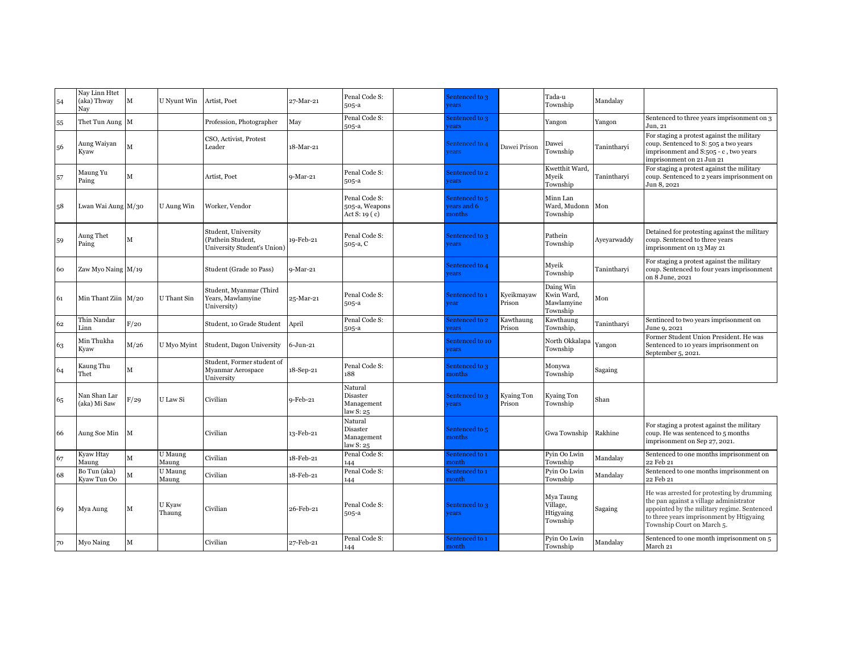| 54 | Nay Linn Htet<br>(aka) Thway<br>Nav | $\mathbf M$ | U Nyunt Win      | Artist, Poet                                                            | 27-Mar-21    | Penal Code S:<br>505-a                             | Sentenced to 3<br>rears                |                      | Tada-u<br>Township                                | Mandalay    |                                                                                                                                                                                                                |
|----|-------------------------------------|-------------|------------------|-------------------------------------------------------------------------|--------------|----------------------------------------------------|----------------------------------------|----------------------|---------------------------------------------------|-------------|----------------------------------------------------------------------------------------------------------------------------------------------------------------------------------------------------------------|
| 55 | Thet Tun Aung $\,$ M                |             |                  | Profession, Photographer                                                | May          | Penal Code S:<br>505-a                             | Sentenced to 3<br>ears                 |                      | Yangon                                            | Yangon      | Sentenced to three years imprisonment on 3<br>Jun, 21                                                                                                                                                          |
| 56 | Aung Waiyan<br>Kyaw                 | М           |                  | CSO, Activist, Protest<br>Leader                                        | 18-Mar-21    |                                                    | Sentenced to 4<br><i>rears</i>         | Dawei Prison         | Dawei<br>Township                                 | Tanintharyi | For staging a protest against the military<br>coup. Sentenced to S: 505 a two years<br>imprisonment and S:505 - c, two years<br>imprisonment on 21 Jun 21                                                      |
| 57 | Maung Yu<br>Paing                   | М           |                  | Artist, Poet                                                            | $9-Mar-21$   | Penal Code S:<br>$505-a$                           | Sentenced to 2<br>rears                |                      | Kwetthit Ward,<br>Myeik<br>Township               | Tanintharyi | For staging a protest against the military<br>coup. Sentenced to 2 years imprisonment on<br>Jun 8, 2021                                                                                                        |
| 58 | Lwan Wai Aung M/30                  |             | U Aung Win       | Worker, Vendor                                                          |              | Penal Code S:<br>505-a, Weapons<br>Act S: 19 $(c)$ | Sentenced to 5<br>ears and 6<br>nonths |                      | Minn Lan<br>Ward, Mudonn<br>Township              | Mon         |                                                                                                                                                                                                                |
| 59 | Aung Thet<br>Paing                  | м           |                  | Student, University<br>(Pathein Student,<br>University Student's Union) | 19-Feb-21    | Penal Code S:<br>505-a, C                          | Sentenced to 3<br>rears                |                      | Pathein<br>Township                               | Ayeyarwaddy | Detained for protesting against the military<br>coup. Sentenced to three years<br>imprisonment on 13 May 21                                                                                                    |
| 60 | Zaw Myo Naing M/19                  |             |                  | Student (Grade 10 Pass)                                                 | 9-Mar-21     |                                                    | Sentenced to 4<br>rears                |                      | Myeik<br>Township                                 | Tanintharyi | For staging a protest against the military<br>coup. Sentenced to four years imprisonment<br>on 8 June, 2021                                                                                                    |
| 61 | Min Thant Ziin M/20                 |             | U Thant Sin      | Student, Myanmar (Third<br>Years, Mawlamyine<br>University)             | 25-Mar-21    | Penal Code S:<br>505-a                             | Sentenced to 1<br>rear                 | Kyeikmayaw<br>Prison | Daing Win<br>Kwin Ward,<br>Mawlamyine<br>Township | Mon         |                                                                                                                                                                                                                |
| 62 | Thin Nandar<br>Linn                 | F/20        |                  | Student, 10 Grade Student                                               | April        | Penal Code S:<br>505-a                             | Sentenced to 2<br>ears                 | Kawthaung<br>Prison  | Kawthaung<br>Township,                            | Tanintharyi | Sentinced to two years imprisonment on<br>June 9, 2021                                                                                                                                                         |
| 63 | Min Thukha<br>Kyaw                  | M/26        | U Myo Myint      | Student, Dagon University                                               | $6 - Jun-21$ |                                                    | Sentenced to 10<br>rears               |                      | North Okkalapa<br>Township                        | Yangon      | Former Student Union President. He was<br>Sentenced to 10 years imprisonment on<br>September 5, 2021.                                                                                                          |
| 64 | Kaung Thu<br>Thet                   | М           |                  | Student, Former student of<br>Myanmar Aerospace<br>University           | 18-Sep-21    | Penal Code S:<br>188                               | Sentenced to 3<br>nonths               |                      | Monywa<br>Township                                | Sagaing     |                                                                                                                                                                                                                |
| 65 | Nan Shan Lar<br>(aka) Mi Saw        | F/29        | U Law Si         | Civilian                                                                | 9-Feb-21     | Natural<br>Disaster<br>Management<br>law S: 25     | Sentenced to 3<br>rears                | Kyaing Ton<br>Prison | Kyaing Ton<br>Township                            | Shan        |                                                                                                                                                                                                                |
| 66 | Aung Soe Min                        | M           |                  | Civilian                                                                | 13-Feb-21    | Natural<br>Disaster<br>Management<br>law S: 25     | Sentenced to 5<br>nonths               |                      | Gwa Township                                      | Rakhine     | For staging a protest against the military<br>coup. He was sentenced to 5 months<br>imprisonment on Sep 27, 2021.                                                                                              |
| 67 | Kyaw Htay<br>Maung                  | M           | U Maung<br>Maung | Civilian                                                                | 18-Feb-21    | Penal Code S:<br>144                               | Sentenced to 1<br>nonth                |                      | Pyin Oo Lwin<br>Township                          | Mandalay    | Sentenced to one months imprisonment on<br>22 Feb 21                                                                                                                                                           |
| 68 | Bo Tun (aka)<br>Kyaw Tun Oo         | М           | U Maung<br>Maung | Civilian                                                                | 18-Feb-21    | Penal Code S:<br>144                               | Sentenced to 1<br>nonth                |                      | Pyin Oo Lwin<br>Township                          | Mandalay    | Sentenced to one months imprisonment on<br>22 Feb 21                                                                                                                                                           |
| 69 | Mya Aung                            | M           | U Kyaw<br>Thaung | Civilian                                                                | 26-Feb-21    | Penal Code S:<br>505-a                             | Sentenced to 3<br>rears                |                      | Mya Taung<br>Village,<br>Htigyaing<br>Township    | Sagaing     | He was arrested for protesting by drumming<br>the pan against a village administrator<br>appointed by the military regime. Sentenced<br>to three years imprisonment by Htigyaing<br>Township Court on March 5. |
| 70 | Myo Naing                           | М           |                  | Civilian                                                                | 27-Feb-21    | Penal Code S:<br>144                               | Sentenced to 1<br>nonth                |                      | Pyin Oo Lwin<br>Township                          | Mandalay    | Sentenced to one month imprisonment on 5<br>March 21                                                                                                                                                           |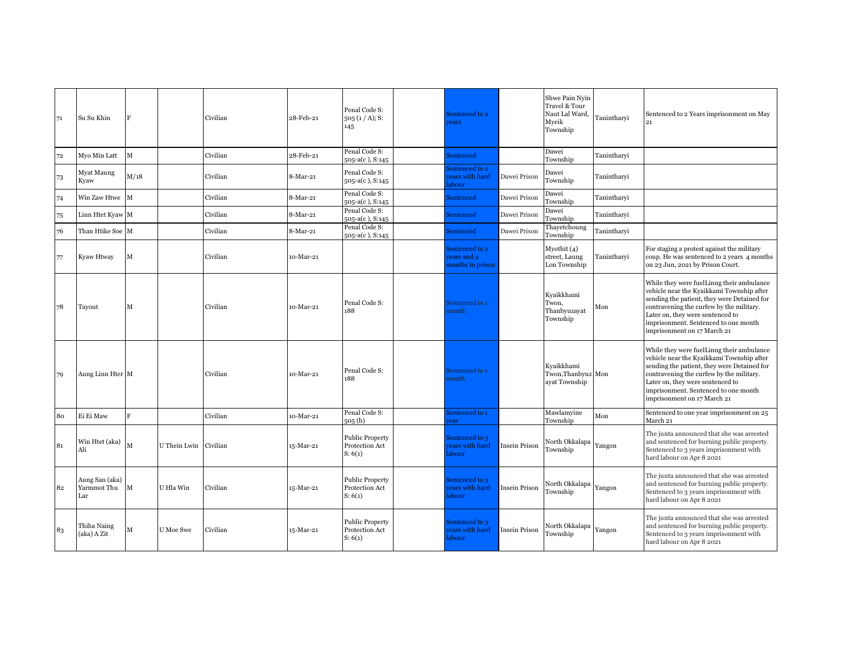| 71 | Su Su Khin                           |              |                       | Civilian | 28-Feb-21 | Penal Code S:<br>505 (1/A); S:<br>145               | Sentenced to 2<br>rears                          |                      | Shwe Pain Nyin<br>Travel & Tour<br>Naut Lal Ward.<br>Mveik<br>Township | Tanintharvi | Sentenced to 2 Years imprisonment on May<br>21                                                                                                                                                                                                                                               |
|----|--------------------------------------|--------------|-----------------------|----------|-----------|-----------------------------------------------------|--------------------------------------------------|----------------------|------------------------------------------------------------------------|-------------|----------------------------------------------------------------------------------------------------------------------------------------------------------------------------------------------------------------------------------------------------------------------------------------------|
| 72 | Myo Min Latt                         | M            |                       | Civilian | 28-Feb-21 | Penal Code S:<br>505-a(c), S:145                    | <b>Sentenced</b>                                 |                      | Dawei<br>Township                                                      | Tanintharvi |                                                                                                                                                                                                                                                                                              |
| 73 | Myat Maung<br>Kyaw                   | M/18         |                       | Civilian | 8-Mar-21  | Penal Code S:<br>505-a(c), S:145                    | Sentenced to 2<br>ears with hard<br>abour        | Dawei Prison         | Dawei<br>Township                                                      | Tanintharvi |                                                                                                                                                                                                                                                                                              |
| 74 | Win Zaw Htwe                         | $\mathbf{M}$ |                       | Civilian | 8-Mar-21  | Penal Code S:<br>505-a(c), S:145                    | Sentenced                                        | Dawei Prison         | Dawei<br>Township                                                      | Tanintharyi |                                                                                                                                                                                                                                                                                              |
| 75 | Linn Htet Kyaw M                     |              |                       | Civilian | 8-Mar-21  | Penal Code S:<br>$505-a(c)$ , S:145                 | Sentenced                                        | Dawei Prison         | Dawei<br>Township                                                      | Tanintharvi |                                                                                                                                                                                                                                                                                              |
| 76 | Than Htike Soe M                     |              |                       | Civilian | 8-Mar-21  | Penal Code S:<br>505-a(c), S:145                    | Sentenced                                        | Dawei Prison         | Thayetchoung<br>Township                                               | Tanintharyi |                                                                                                                                                                                                                                                                                              |
| 77 | Kyaw Htway                           | М            |                       | Civilian | 10-Mar-21 |                                                     | Sentenced to 2<br>ears and 4<br>nonths in prison |                      | Myothit (4)<br>street, Laung<br>Lon Township                           | Tanintharyi | For staging a protest against the military<br>coup. He was sentenced to 2 years 4 months<br>on 23 Jun, 2021 by Prison Court.                                                                                                                                                                 |
| 78 | Tayout                               | M            |                       | Civilian | 10-Mar-21 | Penal Code S:<br>188                                | Sentenced to 1<br>nonth                          |                      | Kyaikkhami<br>Twon,<br>Thanbyuzayat<br>Township                        | Mon         | While they were fuelLinng their ambulance<br>vehicle near the Kyaikkami Township after<br>sending the patient, they were Detained for<br>contravening the curfew by the military.<br>Later on, they were sentenced to<br>imprisonment. Sentenced to one month<br>imprisonment on 17 March 21 |
| 79 | Aung Linn Hter M                     |              |                       | Civilian | 10-Mar-21 | Penal Code S:<br>188                                | Sentenced to 1<br>nonth                          |                      | Kvaikkhami<br>Twon, Thanbyuz Mon<br>ayat Township                      |             | While they were fuelLinng their ambulance<br>vehicle near the Kyaikkami Township after<br>sending the patient, they were Detained for<br>contravening the curfew by the military.<br>Later on, they were sentenced to<br>imprisonment. Sentenced to one month<br>imprisonment on 17 March 21 |
| 80 | Ei Ei Maw                            | R            |                       | Civilian | 10-Mar-21 | Penal Code S:<br>505(b)                             | Sentenced to 1<br>ear                            |                      | Mawlamyine<br>Township                                                 | Mon         | Sentenced to one year imprisonment on 25<br>March 21                                                                                                                                                                                                                                         |
| 81 | Win Htet (aka)<br>Ali                | М            | U Thein Lwin Civilian |          | 15-Mar-21 | <b>Public Property</b><br>Protection Act<br>S: 6(1) | Sentenced to 3<br>ears with hard<br>labour       | Insein Prison        | North Okkalapa<br>Township                                             | Yangon      | The junta announced that she was arrested<br>and sentenced for burning public property.<br>Sentenced to 3 years imprisonment with<br>hard labour on Apr 8 2021                                                                                                                               |
| 82 | Aung San (aka)<br>Yarmmot Thu<br>Lar | M            | U Hla Win             | Civilian | 15-Mar-21 | <b>Public Property</b><br>Protection Act<br>S: 6(1) | Sentenced to 3<br>ears with hard<br>abour        | <b>Insein Prison</b> | North Okkalapa<br>Township                                             | Yangon      | The junta announced that she was arrested<br>and sentenced for burning public property.<br>Sentenced to 3 years imprisonment with<br>hard labour on Apr 8 2021                                                                                                                               |
| 83 | Thiha Naing<br>(aka) A Zit           | М            | U Moe Swe             | Civilian | 15-Mar-21 | <b>Public Property</b><br>Protection Act<br>S: 6(1) | Sentenced to 3<br>vears with hard<br>labour      | Insein Prison        | North Okkalapa<br>Township                                             | Yangon      | The junta announced that she was arrested<br>and sentenced for burning public property.<br>Sentenced to 3 years imprisonment with<br>hard labour on Apr 8 2021                                                                                                                               |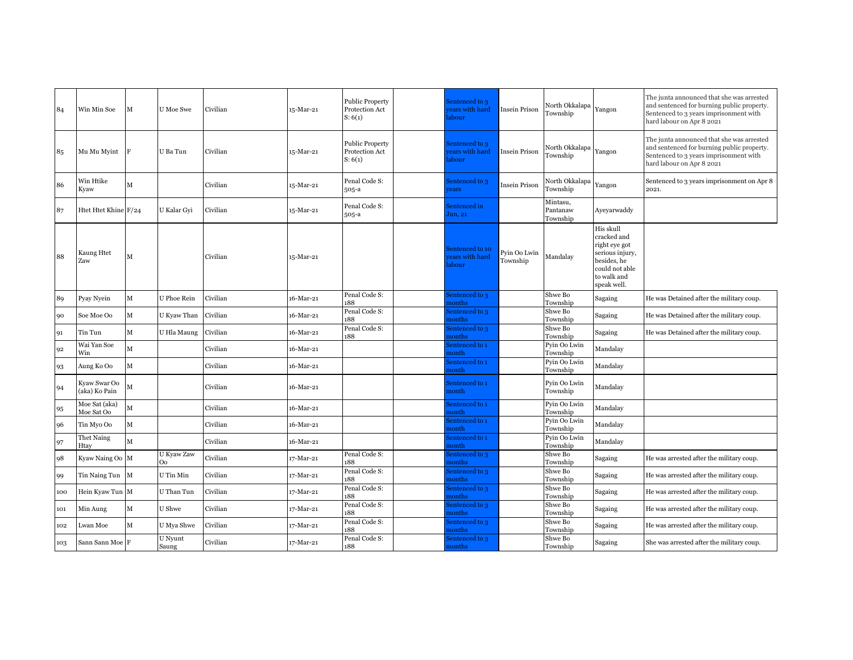| 84  | Win Min Soe                   | M           | U Moe Swe        | Civilian | 15-Mar-21 | <b>Public Property</b><br>Protection Act<br>S: 6(1) | Sentenced to 3<br>ears with hard<br>abour | <b>Insein Prison</b>     | North Okkalapa<br>Township       | Yangon                                                                                                                      | The junta announced that she was arrested<br>and sentenced for burning public property.<br>Sentenced to 3 years imprisonment with<br>hard labour on Apr 8 2021 |
|-----|-------------------------------|-------------|------------------|----------|-----------|-----------------------------------------------------|-------------------------------------------|--------------------------|----------------------------------|-----------------------------------------------------------------------------------------------------------------------------|----------------------------------------------------------------------------------------------------------------------------------------------------------------|
| 85  | Mu Mu Myint                   | F           | U Ba Tun         | Civilian | 15-Mar-21 | <b>Public Property</b><br>Protection Act<br>S: 6(1) | Sentenced to 3<br>ears with hard<br>abour | <b>Insein Prison</b>     | North Okkalapa<br>Township       | Yangon                                                                                                                      | The junta announced that she was arrested<br>and sentenced for burning public property.<br>Sentenced to 3 years imprisonment with<br>hard labour on Apr 8 2021 |
| 86  | Win Htike<br>Kyaw             | M           |                  | Civilian | 15-Mar-21 | Penal Code S:<br>505-a                              | Sentenced to 3<br>rears                   | Insein Prison            | North Okkalapa<br>Township       | Yangon                                                                                                                      | Sentenced to 3 years imprisonment on Apr 8<br>2021.                                                                                                            |
| 87  | Htet Htet Khine F/24          |             | U Kalar Gyi      | Civilian | 15-Mar-21 | Penal Code S:<br>505-a                              | Sentenced in<br>Jun, 21                   |                          | Mintasu,<br>Pantanaw<br>Township | Ayeyarwaddy                                                                                                                 |                                                                                                                                                                |
| 88  | Kaung Htet<br>Zaw             | M           |                  | Civilian | 15-Mar-21 |                                                     | entenced to 10<br>ears with hard<br>abour | Pyin Oo Lwin<br>Township | Mandalay                         | His skull<br>cracked and<br>right eye got<br>serious injury,<br>besides, he<br>could not able<br>to walk and<br>speak well. |                                                                                                                                                                |
| 89  | Pyay Nyein                    | M           | U Phoe Rein      | Civilian | 16-Mar-21 | Penal Code S:<br>188                                | sentenced to 3<br>nonths                  |                          | Shwe Bo<br>Township              | Sagaing                                                                                                                     | He was Detained after the military coup.                                                                                                                       |
| 90  | Soe Moe Oo                    | $\mathbf M$ | U Kyaw Than      | Civilian | 16-Mar-21 | Penal Code S:<br>188                                | sentenced to 3<br>nonths                  |                          | Shwe Bo<br>Township              | Sagaing                                                                                                                     | He was Detained after the military coup.                                                                                                                       |
| 91  | Tin Tun                       | $\mathbf M$ | U Hla Maung      | Civilian | 16-Mar-21 | Penal Code S:<br>188                                | sentenced to 3<br>nonths                  |                          | Shwe Bo<br>Township              | Sagaing                                                                                                                     | He was Detained after the military coup.                                                                                                                       |
| 92  | Wai Yan Soe<br>Win            | M           |                  | Civilian | 16-Mar-21 |                                                     | Sentenced to 1<br>nonth                   |                          | Pyin Oo Lwin<br>Township         | Mandalav                                                                                                                    |                                                                                                                                                                |
| 93  | Aung Ko Oo                    | $\mathbf M$ |                  | Civilian | 16-Mar-21 |                                                     | Sentenced to 1<br>nonth                   |                          | Pyin Oo Lwin<br>Township         | Mandalay                                                                                                                    |                                                                                                                                                                |
| 94  | Kyaw Swar Oo<br>(aka) Ko Pain | М           |                  | Civilian | 16-Mar-21 |                                                     | Sentenced to 1<br>nonth                   |                          | Pyin Oo Lwin<br>Township         | Mandalay                                                                                                                    |                                                                                                                                                                |
| 95  | Moe Sat (aka)<br>Moe Sat Oo   | М           |                  | Civilian | 16-Mar-21 |                                                     | Sentenced to 1<br>nonth                   |                          | Pyin Oo Lwin<br>Township         | Mandalay                                                                                                                    |                                                                                                                                                                |
| 96  | Tin Myo Oo                    | M           |                  | Civilian | 16-Mar-21 |                                                     | Sentenced to 1<br>nonth                   |                          | Pyin Oo Lwin<br>Township         | Mandalay                                                                                                                    |                                                                                                                                                                |
| 97  | Thet Naing<br>Htay            | M           |                  | Civilian | 16-Mar-21 |                                                     | sentenced to 1<br>nonth                   |                          | Pyin Oo Lwin<br>Township         | Mandalay                                                                                                                    |                                                                                                                                                                |
| 98  | Kyaw Naing Oo M               |             | U Kyaw Zaw<br>Oo | Civilian | 17-Mar-21 | Penal Code S:<br>188                                | sentenced to 3<br>nonths                  |                          | Shwe Bo<br>Township              | Sagaing                                                                                                                     | He was arrested after the military coup.                                                                                                                       |
| 99  | Tin Naing Tun M               |             | U Tin Min        | Civilian | 17-Mar-21 | Penal Code S:<br>188                                | sentenced to 3<br>nonths                  |                          | Shwe Bo<br>Township              | Sagaing                                                                                                                     | He was arrested after the military coup.                                                                                                                       |
| 100 | Hein Kyaw Tun M               |             | U Than Tun       | Civilian | 17-Mar-21 | Penal Code S:<br>188                                | sentenced to 3<br>nonths                  |                          | Shwe Bo<br>Township              | Sagaing                                                                                                                     | He was arrested after the military coup.                                                                                                                       |
| 101 | Min Aung                      | M           | U Shwe           | Civilian | 17-Mar-21 | Penal Code S:<br>188                                | sentenced to 3<br>nonths                  |                          | Shwe Bo<br>Township              | Sagaing                                                                                                                     | He was arrested after the military coup.                                                                                                                       |
| 102 | Lwan Moe                      | $\mathbf M$ | U Mya Shwe       | Civilian | 17-Mar-21 | Penal Code S:<br>188                                | sentenced to 3<br>nonths                  |                          | Shwe Bo<br>Township              | Sagaing                                                                                                                     | He was arrested after the military coup.                                                                                                                       |
| 103 | Sann Sann Moe F               |             | U Nyunt<br>Saung | Civilian | 17-Mar-21 | Penal Code S:<br>188                                | sentenced to 3<br>nonths                  |                          | Shwe Bo<br>Township              | Sagaing                                                                                                                     | She was arrested after the military coup.                                                                                                                      |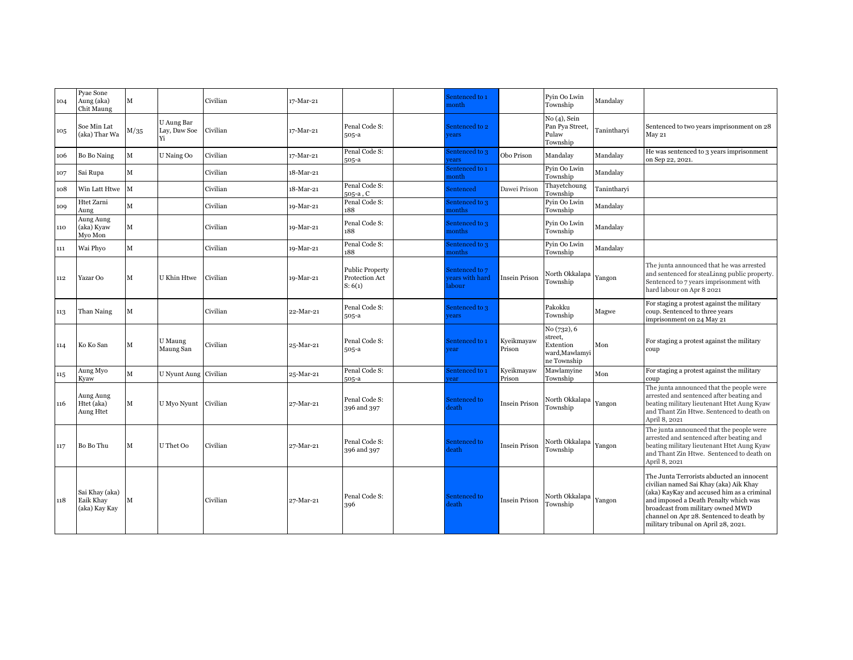| 104 | Pyae Sone<br>Aung (aka)<br>Chit Maung        | $\mathbf{M}$ |                                  | Civilian | 17-Mar-21 |                                                     | Sentenced to 1<br>nonth                    |                      | Pyin Oo Lwin<br>Township                                            | Mandalay    |                                                                                                                                                                                                                                                                                                     |
|-----|----------------------------------------------|--------------|----------------------------------|----------|-----------|-----------------------------------------------------|--------------------------------------------|----------------------|---------------------------------------------------------------------|-------------|-----------------------------------------------------------------------------------------------------------------------------------------------------------------------------------------------------------------------------------------------------------------------------------------------------|
| 105 | Soe Min Lat<br>(aka) Thar Wa                 | M/35         | U Aung Bar<br>Lay, Daw Soe<br>Yi | Civilian | 17-Mar-21 | Penal Code S:<br>$505-a$                            | Sentenced to 2<br>vears                    |                      | No (4), Sein<br>Pan Pya Street,<br>Pulaw<br>Township                | Tanintharyi | Sentenced to two years imprisonment on 28<br>May 21                                                                                                                                                                                                                                                 |
| 106 | Bo Bo Naing                                  | M            | U Naing Oo                       | Civilian | 17-Mar-21 | Penal Code S:<br>505-a                              | Sentenced to 3<br>rears                    | Obo Prison           | Mandalay                                                            | Mandalay    | He was sentenced to 3 years imprisonment<br>on Sep 22, 2021.                                                                                                                                                                                                                                        |
| 107 | Sai Rupa                                     | M            |                                  | Civilian | 18-Mar-21 |                                                     | sentenced to 1<br>nonth                    |                      | Pyin Oo Lwin<br>Township                                            | Mandalay    |                                                                                                                                                                                                                                                                                                     |
| 108 | Win Latt Htwe M                              |              |                                  | Civilian | 18-Mar-21 | Penal Code S:<br>505-a, C                           | Sentenced                                  | Dawei Prison         | Thayetchoung<br>Township                                            | Tanintharyi |                                                                                                                                                                                                                                                                                                     |
| 109 | Htet Zarni<br>Aung                           | M            |                                  | Civilian | 19-Mar-21 | Penal Code S:<br>188                                | Sentenced to 3<br>nonths                   |                      | Pyin Oo Lwin<br>Township                                            | Mandalay    |                                                                                                                                                                                                                                                                                                     |
| 110 | Aung Aung<br>(aka) Kyaw<br>Myo Mon           | M            |                                  | Civilian | 19-Mar-21 | Penal Code S:<br>188                                | Sentenced to 3<br>nonths                   |                      | Pyin Oo Lwin<br>Township                                            | Mandalay    |                                                                                                                                                                                                                                                                                                     |
| 111 | Wai Phyo                                     | M            |                                  | Civilian | 19-Mar-21 | Penal Code S:<br>188                                | Sentenced to 3<br>nonths                   |                      | Pyin Oo Lwin<br>Township                                            | Mandalay    |                                                                                                                                                                                                                                                                                                     |
| 112 | Yazar Oo                                     | M            | U Khin Htwe                      | Civilian | 19-Mar-21 | <b>Public Property</b><br>Protection Act<br>S: 6(1) | Sentenced to 7<br>ears with hard<br>labour | <b>Insein Prison</b> | North Okkalapa<br>Township                                          | Yangon      | The junta announced that he was arrested<br>and sentenced for steaLinng public property.<br>Sentenced to 7 years imprisonment with<br>hard labour on Apr 8 2021                                                                                                                                     |
| 113 | Than Naing                                   | M            |                                  | Civilian | 22-Mar-21 | Penal Code S:<br>505-a                              | Sentenced to 3<br>rears                    |                      | Pakokku<br>Township                                                 | Magwe       | For staging a protest against the military<br>coup. Sentenced to three years<br>imprisonment on 24 May 21                                                                                                                                                                                           |
| 114 | Ko Ko San                                    | M            | U Maung<br>Maung San             | Civilian | 25-Mar-21 | Penal Code S:<br>505-a                              | Sentenced to 1<br>rear                     | Kyeikmayaw<br>Prison | No (732), 6<br>street.<br>Extention<br>ward,Mawlamyi<br>ne Township | Mon         | For staging a protest against the military<br>coup                                                                                                                                                                                                                                                  |
| 115 | Aung Myo<br>Kyaw                             | M            | U Nyunt Aung Civilian            |          | 25-Mar-21 | Penal Code S:<br>505-a                              | Sentenced to 1<br>ear                      | Kyeikmayaw<br>Prison | Mawlamyine<br>Township                                              | Mon         | For staging a protest against the military<br>coup                                                                                                                                                                                                                                                  |
| 116 | Aung Aung<br>Htet (aka)<br>Aung Htet         | M            | U Myo Nyunt Civilian             |          | 27-Mar-21 | Penal Code S:<br>396 and 397                        | Sentenced to<br>death                      | Insein Prison        | North Okkalapa<br>Township                                          | Yangon      | The junta announced that the people were<br>arrested and sentenced after beating and<br>beating military lieutenant Htet Aung Kyaw<br>and Thant Zin Htwe. Sentenced to death on<br>April 8, 2021                                                                                                    |
| 117 | Bo Bo Thu                                    | M            | U Thet Oo                        | Civilian | 27-Mar-21 | Penal Code S:<br>396 and 397                        | Sentenced to<br>leath                      | <b>Insein Prison</b> | North Okkalapa<br>Township                                          | Yangon      | The junta announced that the people were<br>arrested and sentenced after beating and<br>beating military lieutenant Htet Aung Kyaw<br>and Thant Zin Htwe. Sentenced to death on<br>April 8, 2021                                                                                                    |
| 118 | Sai Khay (aka)<br>Eaik Khay<br>(aka) Kay Kay | М            |                                  | Civilian | 27-Mar-21 | Penal Code S:<br>396                                | Sentenced to<br>leath                      | <b>Insein Prison</b> | North Okkalapa<br>Township                                          | Yangon      | The Junta Terrorists abducted an innocent<br>civilian named Sai Khay (aka) Aik Khay<br>(aka) KayKay and accused him as a criminal<br>and imposed a Death Penalty which was<br>broadcast from military owned MWD<br>channel on Apr 28. Sentenced to death by<br>military tribunal on April 28, 2021. |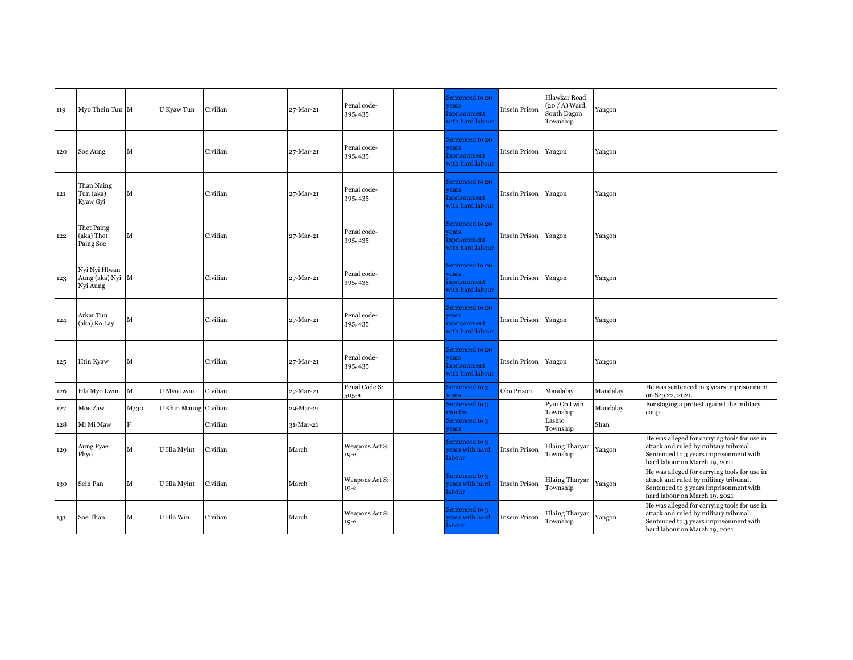| 119 | Myo Thein Tun M                               |      | U Kyaw Tun            | Civilian | 27-Mar-21 | Penal code-<br>395, 435  | Sentenced to 20<br><b>rears</b><br>nprisonment<br>vith hard labour | <b>Insein Prison</b> | Hlawkar Road<br>(20 / A) Ward,<br>South Dagon<br>Township | Yangon   |                                                                                                                                                                   |
|-----|-----------------------------------------------|------|-----------------------|----------|-----------|--------------------------|--------------------------------------------------------------------|----------------------|-----------------------------------------------------------|----------|-------------------------------------------------------------------------------------------------------------------------------------------------------------------|
| 120 | Soe Aung                                      | м    |                       | Civilian | 27-Mar-21 | Penal code-<br>395, 435  | Sentenced to 20<br><i>rears</i><br>nprisonment<br>vith hard labour | <b>Insein Prison</b> | Yangon                                                    | Yangon   |                                                                                                                                                                   |
| 121 | Than Naing<br>Tun (aka)<br>Kyaw Gyi           | М    |                       | Civilian | 27-Mar-21 | Penal code-<br>395, 435  | Sentenced to 20<br><i>rears</i><br>nprisonment<br>vith hard labour | Insein Prison Yangon |                                                           | Yangon   |                                                                                                                                                                   |
| 122 | Thet Paing<br>(aka) Thet<br>Paing Soe         | М    |                       | Civilian | 27-Mar-21 | Penal code-<br>395, 435  | Sentenced to 20<br><i>rears</i><br>nprisonment<br>vith hard labour | <b>Insein Prison</b> | Yangon                                                    | Yangon   |                                                                                                                                                                   |
| 123 | Nyi Nyi Hlwan<br>Aung (aka) Nyi M<br>Nyi Aung |      |                       | Civilian | 27-Mar-21 | Penal code-<br>395, 435  | Sentenced to 20<br>rears<br>nprisonment<br>vith hard labour        | Insein Prison Yangon |                                                           | Yangon   |                                                                                                                                                                   |
| 124 | Arkar Tun<br>(aka) Ko Lay                     | М    |                       | Civilian | 27-Mar-21 | Penal code-<br>395, 435  | Sentenced to 20<br><i>rears</i><br>nprisonment<br>vith hard labour | Insein Prison        | Yangon                                                    | Yangon   |                                                                                                                                                                   |
| 125 | Htin Kyaw                                     | м    |                       | Civilian | 27-Mar-21 | Penal code-<br>395, 435  | Sentenced to 20<br><i>rears</i><br>nprisonment<br>vith hard labour | <b>Insein Prison</b> | Yangon                                                    | Yangon   |                                                                                                                                                                   |
| 126 | Hla Myo Lwin                                  | M    | U Myo Lwin            | Civilian | 27-Mar-21 | Penal Code S:<br>505-a   | Sentenced to 3<br>rears                                            | Obo Prison           | Mandalay                                                  | Mandalay | He was sentenced to 3 years imprisonment<br>on Sep 22, 2021.                                                                                                      |
| 127 | Moe Zaw                                       | M/30 | U Khin Maung Civilian |          | 29-Mar-21 |                          | sentenced to 3<br>nonths                                           |                      | Pyin Oo Lwin<br>Township                                  | Mandalay | For staging a protest against the military<br>coup                                                                                                                |
| 128 | Mi Mi Maw                                     | F.   |                       | Civilian | 31-Mar-21 |                          | Sentenced to 3<br>ears                                             |                      | Lashio<br>Township                                        | Shan     |                                                                                                                                                                   |
| 129 | Aung Pyae<br>Phyo                             | М    | U Hla Myint           | Civilian | March     | Weapons Act S:<br>$19-e$ | Sentenced to 3<br>ears with hard<br>abour                          | <b>Insein Prison</b> | <b>Hlaing Tharyar</b><br>Township                         | Yangon   | He was alleged for carrying tools for use in<br>attack and ruled by military tribunal.<br>Sentenced to 3 years imprisonment with<br>hard labour on March 19, 2021 |
| 130 | Sein Pan                                      | М    | U Hla Myint           | Civilian | March     | Weapons Act S:<br>$19-e$ | Sentenced to 3<br>ears with hard<br>abour                          | <b>Insein Prison</b> | <b>Hlaing Tharyar</b><br>Township                         | Yangon   | He was alleged for carrying tools for use in<br>attack and ruled by military tribunal.<br>Sentenced to 3 years imprisonment with<br>hard labour on March 19, 2021 |
| 131 | Soe Than                                      | М    | U Hla Win             | Civilian | March     | Weapons Act S:<br>$19-e$ | Sentenced to 3<br>ears with hard<br>abour                          | Insein Prison        | Hlaing Tharyar<br>Township                                | Yangon   | He was alleged for carrying tools for use in<br>attack and ruled by military tribunal.<br>Sentenced to 3 years imprisonment with<br>hard labour on March 19, 2021 |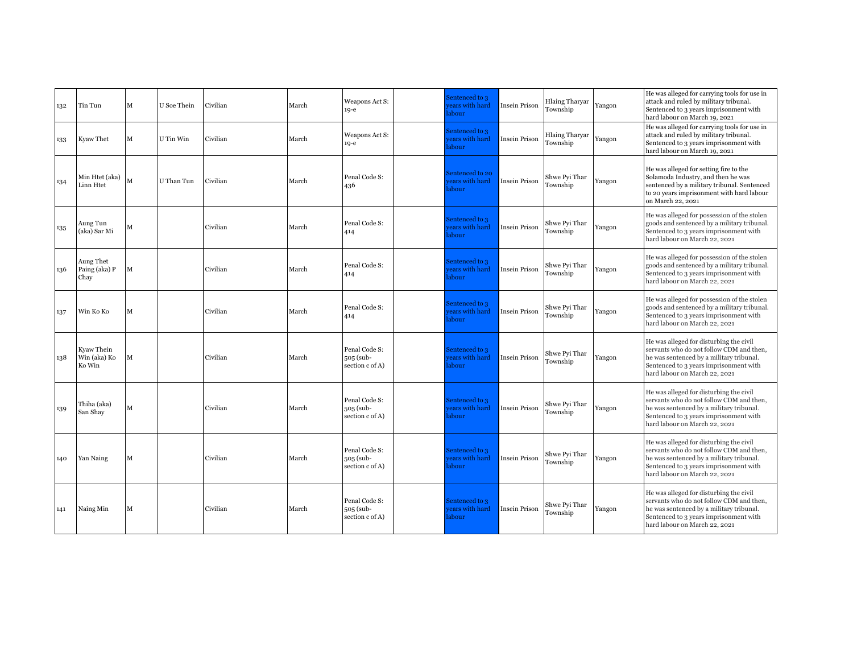| 132 | Tin Tun                                          | М | U Soe Thein | Civilian | March | Weapons Act S:<br>$19-e$                      | Sentenced to 3<br>ears with hard<br>labour  | Insein Prison        | <b>Hlaing Tharyar</b><br>Township | Yangon | He was alleged for carrying tools for use in<br>attack and ruled by military tribunal.<br>Sentenced to 3 years imprisonment with<br>hard labour on March 19, 2021                                          |
|-----|--------------------------------------------------|---|-------------|----------|-------|-----------------------------------------------|---------------------------------------------|----------------------|-----------------------------------|--------|------------------------------------------------------------------------------------------------------------------------------------------------------------------------------------------------------------|
| 133 | Kyaw Thet                                        |   | U Tin Win   | Civilian | March | Weapons Act S:<br>$19-e$                      | Sentenced to 3<br>ears with hard<br>labour  | <b>Insein Prison</b> | Hlaing Tharyar<br>Township        | Yangon | He was alleged for carrying tools for use in<br>attack and ruled by military tribunal.<br>Sentenced to 3 years imprisonment with<br>hard labour on March 19, 2021                                          |
| 134 | Min Htet (aka) $\big _{\mathbf{M}}$<br>Linn Htet |   | U Than Tun  | Civilian | March | Penal Code S:<br>436                          | Sentenced to 20<br>ears with hard<br>labour | <b>Insein Prison</b> | Shwe Pyi Thar<br>Township         | Yangon | He was alleged for setting fire to the<br>Solamoda Industry, and then he was<br>sentenced by a military tribunal. Sentenced<br>to 20 years imprisonment with hard labour<br>on March 22, 2021              |
| 135 | Aung Tun<br>(aka) Sar Mi                         | M |             | Civilian | March | Penal Code S:<br>414                          | Sentenced to 3<br>ears with hard<br>labour  | Insein Prison        | Shwe Pyi Thar<br>Township         | Yangon | He was alleged for possession of the stolen<br>goods and sentenced by a military tribunal.<br>Sentenced to 3 years imprisonment with<br>hard labour on March 22, 2021                                      |
| 136 | Aung Thet<br>Paing (aka) P<br>Chay               |   |             | Civilian | March | Penal Code S:<br>414                          | Sentenced to 3<br>ears with hard<br>abour   | Insein Prison        | Shwe Pyi Thar<br>Township         | Yangon | He was alleged for possession of the stolen<br>goods and sentenced by a military tribunal.<br>Sentenced to 3 years imprisonment with<br>hard labour on March 22, 2021                                      |
| 137 | Win Ko Ko                                        |   |             | Civilian | March | Penal Code S:<br>414                          | Sentenced to 3<br>ears with hard<br>labour  | <b>Insein Prison</b> | Shwe Pyi Thar<br>Township         | Yangon | He was alleged for possession of the stolen<br>goods and sentenced by a military tribunal.<br>Sentenced to 3 years imprisonment with<br>hard labour on March 22, 2021                                      |
| 138 | Kyaw Thein<br>Win (aka) Ko<br>Ko Win             | М |             | Civilian | March | Penal Code S:<br>505 (sub-<br>section c of A) | Sentenced to 3<br>ears with hard<br>labour  | Insein Prison        | Shwe Pyi Thar<br>Township         | Yangon | He was alleged for disturbing the civil<br>servants who do not follow CDM and then,<br>he was sentenced by a military tribunal.<br>Sentenced to 3 years imprisonment with<br>hard labour on March 22, 2021 |
| 139 | Thiha (aka)<br>San Shay                          | M |             | Civilian | March | Penal Code S:<br>505 (sub-<br>section c of A) | Sentenced to 3<br>ears with hard<br>labour  | <b>Insein Prison</b> | Shwe Pyi Thar<br>Township         | Yangon | He was alleged for disturbing the civil<br>servants who do not follow CDM and then,<br>he was sentenced by a military tribunal.<br>Sentenced to 3 years imprisonment with<br>hard labour on March 22, 2021 |
| 140 | Yan Naing                                        | М |             | Civilian | March | Penal Code S:<br>505 (sub-<br>section c of A) | Sentenced to 3<br>ears with hard<br>labour  | <b>Insein Prison</b> | Shwe Pyi Thar<br>Township         | Yangon | He was alleged for disturbing the civil<br>servants who do not follow CDM and then,<br>he was sentenced by a military tribunal.<br>Sentenced to 3 years imprisonment with<br>hard labour on March 22, 2021 |
| 141 | Naing Min                                        | M |             | Civilian | March | Penal Code S:<br>505 (sub-<br>section c of A) | Sentenced to 3<br>ears with hard<br>labour  | Insein Prison        | Shwe Pyi Thar<br>Township         | Yangon | He was alleged for disturbing the civil<br>servants who do not follow CDM and then,<br>he was sentenced by a military tribunal.<br>Sentenced to 3 years imprisonment with<br>hard labour on March 22, 2021 |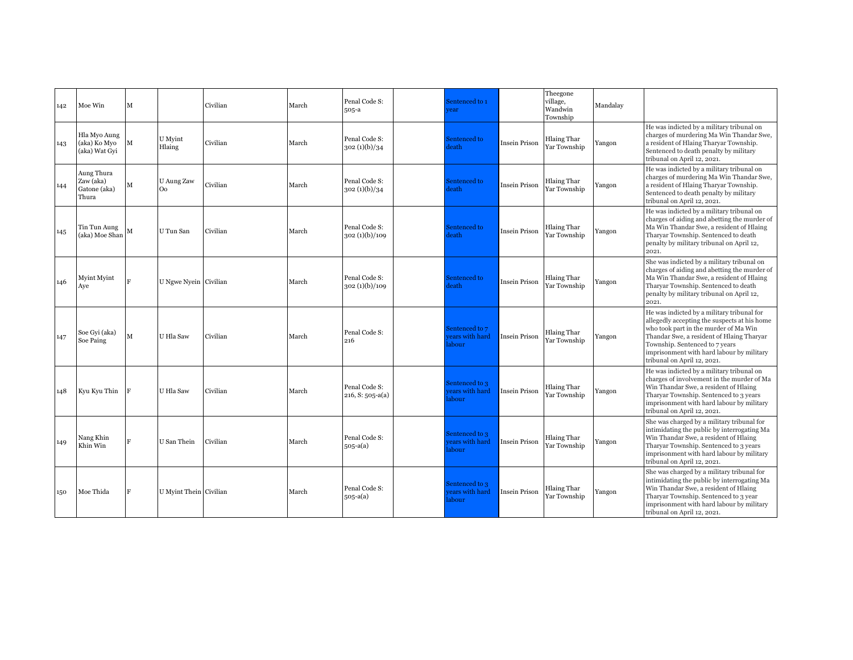| 142 | Moe Win                                          | м           |                              | Civilian | March | Penal Code S:<br>505-a              | Sentenced to 1<br>rear                    |                      | Theegone<br>village,<br>Wandwin<br>Township | Mandalay |                                                                                                                                                                                                                                                                                                |
|-----|--------------------------------------------------|-------------|------------------------------|----------|-------|-------------------------------------|-------------------------------------------|----------------------|---------------------------------------------|----------|------------------------------------------------------------------------------------------------------------------------------------------------------------------------------------------------------------------------------------------------------------------------------------------------|
| 143 | Hla Myo Aung<br>(aka) Ko Myo<br>(aka) Wat Gyi    | М           | U Myint<br>Hlaing            | Civilian | March | Penal Code S:<br>302(1)(b)/34       | Sentenced to<br>leath                     | <b>Insein Prison</b> | <b>Hlaing Thar</b><br>Yar Township          | Yangon   | He was indicted by a military tribunal on<br>charges of murdering Ma Win Thandar Swe,<br>a resident of Hlaing Tharyar Township.<br>Sentenced to death penalty by military<br>tribunal on April 12, 2021.                                                                                       |
| 144 | Aung Thura<br>Zaw (aka)<br>Gatone (aka)<br>Thura | М           | U Aung Zaw<br>O <sub>o</sub> | Civilian | March | Penal Code S:<br>302(1)(b)/34       | Sentenced to<br>leath                     | <b>Insein Prison</b> | <b>Hlaing Thar</b><br>Yar Township          | Yangon   | He was indicted by a military tribunal on<br>charges of murdering Ma Win Thandar Swe,<br>a resident of Hlaing Tharyar Township.<br>Sentenced to death penalty by military<br>tribunal on April 12, 2021.                                                                                       |
| 145 | Tin Tun Aung<br>(aka) Moe Shan                   | M           | U Tun San                    | Civilian | March | Penal Code S:<br>302(1)(b)/109      | Sentenced to<br>leath                     | <b>Insein Prison</b> | <b>Hlaing Thar</b><br>Yar Township          | Yangon   | He was indicted by a military tribunal on<br>charges of aiding and abetting the murder of<br>Ma Win Thandar Swe, a resident of Hlaing<br>Tharyar Township. Sentenced to death<br>penalty by military tribunal on April 12,<br>2021.                                                            |
| 146 | Myint Myint<br>Aye                               | R           | U Ngwe Nyein Civilian        |          | March | Penal Code S:<br>302(1)(b)/109      | Sentenced to<br>leath                     | <b>Insein Prison</b> | <b>Hlaing Thar</b><br>Yar Township          | Yangon   | She was indicted by a military tribunal on<br>charges of aiding and abetting the murder of<br>Ma Win Thandar Swe, a resident of Hlaing<br>Tharyar Township. Sentenced to death<br>penalty by military tribunal on April 12,<br>2021.                                                           |
| 147 | Soe Gvi (aka)<br>Soe Paing                       | $\mathbf M$ | U Hla Saw                    | Civilian | March | Penal Code S:<br>216                | Sentenced to 7<br>ears with hard<br>abour | Insein Prison        | <b>Hlaing Thar</b><br>Yar Township          | Yangon   | He was indicted by a military tribunal for<br>allegedly accepting the suspects at his home<br>who took part in the murder of Ma Win<br>Thandar Swe, a resident of Hlaing Tharyar<br>Township. Sentenced to 7 years<br>imprisonment with hard labour by military<br>tribunal on April 12, 2021. |
| 148 | Kyu Kyu Thin                                     | F           | U Hla Saw                    | Civilian | March | Penal Code S:<br>$216, S: 505-a(a)$ | Sentenced to 3<br>ears with hard<br>abour | Insein Prison        | <b>Hlaing Thar</b><br>Yar Township          | Yangon   | He was indicted by a military tribunal on<br>charges of involvement in the murder of Ma<br>Win Thandar Swe, a resident of Hlaing<br>Tharyar Township. Sentenced to 3 years<br>imprisonment with hard labour by military<br>tribunal on April 12, 2021.                                         |
| 149 | Nang Khin<br>Khin Win                            | R           | U San Thein                  | Civilian | March | Penal Code S:<br>$505-a(a)$         | sentenced to 3<br>ears with hard<br>abour | <b>Insein Prison</b> | <b>Hlaing Thar</b><br>Yar Township          | Yangon   | She was charged by a military tribunal for<br>intimidating the public by interrogating Ma<br>Win Thandar Swe, a resident of Hlaing<br>Tharyar Township. Sentenced to 3 years<br>imprisonment with hard labour by military<br>tribunal on April 12, 2021.                                       |
| 150 | Moe Thida                                        |             | U Myint Thein Civilian       |          | March | Penal Code S:<br>$505-a(a)$         | Sentenced to 3<br>ears with hard<br>abour | <b>Insein Prison</b> | <b>Hlaing Thar</b><br>Yar Township          | Yangon   | She was charged by a military tribunal for<br>intimidating the public by interrogating Ma<br>Win Thandar Swe, a resident of Hlaing<br>Tharyar Township. Sentenced to 3 year<br>imprisonment with hard labour by military<br>tribunal on April 12, 2021.                                        |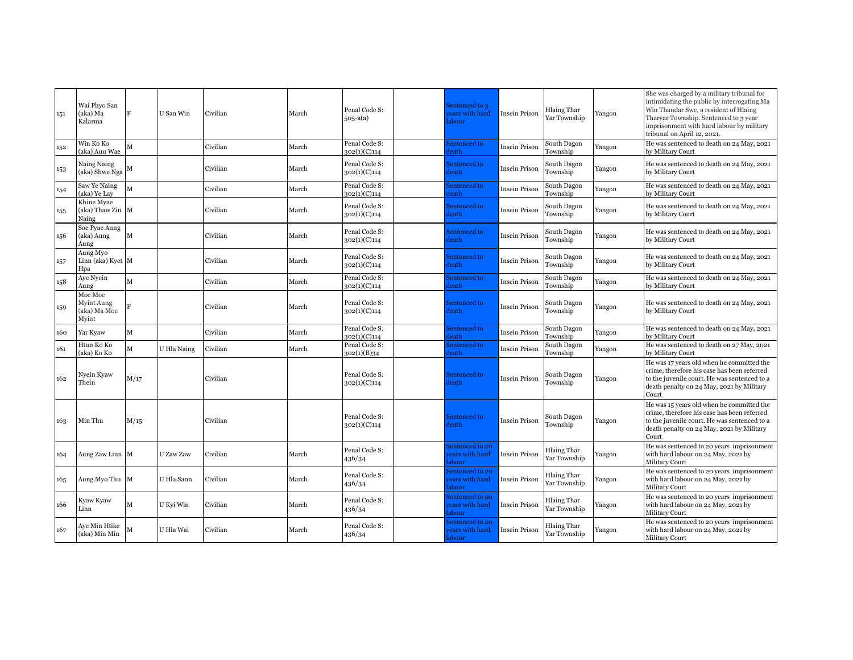| 151 | Wai Phvo San<br>(aka) Ma<br>Kalarma            | F    | U San Win   | Civilian | March | Penal Code S:<br>$505-a(a)$   | Sentenced to 3<br>ears with hard<br>abour  | Insein Prison        | <b>Hlaing Thar</b><br>Yar Township | Yangon | She was charged by a military tribunal for<br>intimidating the public by interrogating Ma<br>Win Thandar Swe, a resident of Hlaing<br>Tharyar Township. Sentenced to 3 year<br>imprisonment with hard labour by military<br>tribunal on April 12, 2021. |
|-----|------------------------------------------------|------|-------------|----------|-------|-------------------------------|--------------------------------------------|----------------------|------------------------------------|--------|---------------------------------------------------------------------------------------------------------------------------------------------------------------------------------------------------------------------------------------------------------|
| 152 | Win Ko Ko<br>(aka) Auu Wae                     | M    |             | Civilian | March | Penal Code S:<br>302(1)(C)114 | Sentenced to<br>leath                      | Insein Prison        | South Dagon<br>Township            | Yangon | He was sentenced to death on 24 May, 2021<br>by Military Court                                                                                                                                                                                          |
| 153 | Naing Naing<br>(aka) Shwe Nga                  | M    |             | Civilian | March | Penal Code S:<br>302(1)(C)114 | Sentenced to<br><b>leath</b>               | Insein Prison        | South Dagon<br>Township            | Yangon | He was sentenced to death on 24 May, 2021<br>by Military Court                                                                                                                                                                                          |
| 154 | Saw Ye Naing<br>(aka) Ye Lay                   | M    |             | Civilian | March | Penal Code S:<br>302(1)(C)114 | Sentenced to<br>leath                      | Insein Prison        | South Dagon<br>Township            | Yangon | He was sentenced to death on 24 May, 2021<br>by Military Court                                                                                                                                                                                          |
| 155 | Khine Myae<br>(aka) Thaw Zin M<br>Naing        |      |             | Civilian | March | Penal Code S:<br>302(1)(C)114 | Sentenced to<br><b>leath</b>               | Insein Prison        | South Dagon<br>Township            | Yangon | He was sentenced to death on 24 May, 2021<br>by Military Court                                                                                                                                                                                          |
| 156 | Soe Pyae Aung<br>(aka) Aung<br>Aung            | M    |             | Civilian | March | Penal Code S:<br>302(1)(C)114 | Sentenced to<br>leath                      | Insein Prison        | South Dagon<br>Township            | Yangon | He was sentenced to death on 24 May, 2021<br>by Military Court                                                                                                                                                                                          |
| 157 | Aung Myo<br>Linn (aka) Kyet M<br>Hpa           |      |             | Civilian | March | Penal Code S:<br>302(1)(C)114 | Sentenced to<br>leath                      | Insein Prison        | South Dagon<br>Township            | Yangon | He was sentenced to death on 24 May, 2021<br>by Military Court                                                                                                                                                                                          |
| 158 | Aye Nyein<br>Aung                              | M    |             | Civilian | March | Penal Code S:<br>302(1)(C)114 | Sentenced to<br>leath                      | <b>Insein Prison</b> | South Dagon<br>Township            | Yangon | He was sentenced to death on 24 May, 2021<br>by Military Court                                                                                                                                                                                          |
| 159 | Moe Moe<br>Myint Aung<br>(aka) Ma Moe<br>Myint |      |             | Civilian | March | Penal Code S:<br>302(1)(C)114 | Sentenced to<br><b>leath</b>               | Insein Prison        | South Dagon<br>Township            | Yangon | He was sentenced to death on 24 May, 2021<br>by Military Court                                                                                                                                                                                          |
| 160 | Yar Kyaw                                       | М    |             | Civilian | March | Penal Code S:<br>302(1)(C)114 | Sentenced to<br>leath                      | Insein Prison        | South Dagon<br>Township            | Yangon | He was sentenced to death on 24 May, 2021<br>by Military Court                                                                                                                                                                                          |
| 161 | Htun Ko Ko<br>(aka) Ko Ko                      | M    | U Hla Naing | Civilian | March | Penal Code S:<br>302(1)(B)34  | Sentenced to<br>leath                      | Insein Prison        | South Dagon<br>Township            | Yangon | He was sentenced to death on 27 May, 2021<br>by Military Court                                                                                                                                                                                          |
| 162 | Nyein Kyaw<br>Thein                            | M/17 |             | Civilian |       | Penal Code S:<br>302(1)(C)114 | Sentenced to<br>leath                      | Insein Prison        | South Dagon<br>Township            | Yangon | He was 17 years old when he committed the<br>crime, therefore his case has been referred<br>to the juvenile court. He was sentenced to a<br>death penalty on 24 May, 2021 by Military<br>Court                                                          |
| 163 | Min Thu                                        | M/15 |             | Civilian |       | Penal Code S:<br>302(1)(C)114 | Sentenced to<br>leath                      | Insein Prison        | South Dagon<br>Township            | Yangon | He was 15 years old when he committed the<br>crime, therefore his case has been referred<br>to the juvenile court. He was sentenced to a<br>death penalty on 24 May, 2021 by Military<br>Court                                                          |
| 164 | Aung Zaw Linn M                                |      | U Zaw Zaw   | Civilian | March | Penal Code S:<br>436/34       | Sentenced to 20<br>ears with hard<br>abour | Insein Prison        | Hlaing Thar<br>Yar Township        | Yangon | He was sentenced to 20 years imprisonment<br>with hard labour on 24 May, 2021 by<br><b>Military Court</b>                                                                                                                                               |
| 165 | Aung Myo Thu                                   | M    | U Hla Sann  | Civilian | March | Penal Code S:<br>436/34       | entenced to 20<br>ears with hard<br>abour  | Insein Prison        | Hlaing Thar<br>Yar Township        | Yangon | He was sentenced to 20 years imprisonment<br>with hard labour on 24 May, 2021 by<br><b>Military Court</b>                                                                                                                                               |
| 166 | Kyaw Kyaw<br>Linn                              | М    | U Kyi Win   | Civilian | March | Penal Code S:<br>436/34       | Sentenced to 20<br>ears with hard<br>abour | Insein Prison        | <b>Hlaing Thar</b><br>Yar Township | Yangon | He was sentenced to 20 years imprisonment<br>with hard labour on 24 May, 2021 by<br>Military Court                                                                                                                                                      |
| 167 | Aye Min Htike<br>(aka) Min Min                 | М    | U Hla Wai   | Civilian | March | Penal Code S:<br>436/34       | Sentenced to 20<br>ears with hard<br>abour | Insein Prison        | <b>Hlaing Thar</b><br>Yar Township | Yangon | He was sentenced to 20 years imprisonment<br>with hard labour on 24 May, 2021 by<br>Military Court                                                                                                                                                      |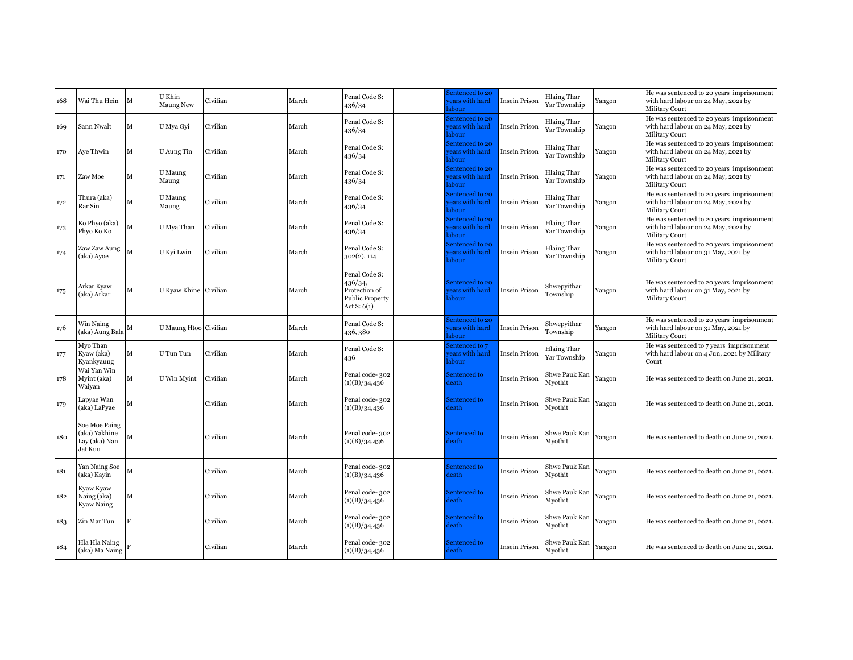| 168 | Wai Thu Hein                                               | M | U Khin<br><b>Maung New</b> | Civilian | March | Penal Code S:<br>436/34                                                              | Sentenced to 20<br>ears with hard<br>abour | Insein Prison        | Hlaing Thar<br>Yar Township | Yangon | He was sentenced to 20 years imprisonment<br>with hard labour on 24 May, 2021 by<br><b>Military Court</b> |
|-----|------------------------------------------------------------|---|----------------------------|----------|-------|--------------------------------------------------------------------------------------|--------------------------------------------|----------------------|-----------------------------|--------|-----------------------------------------------------------------------------------------------------------|
| 169 | Sann Nwalt                                                 | M | U Mya Gyi                  | Civilian | March | Penal Code S:<br>436/34                                                              | entenced to 20<br>ears with hard<br>abour  | Insein Prison        | Hlaing Thar<br>Yar Township | Yangon | He was sentenced to 20 years imprisonment<br>with hard labour on 24 May, 2021 by<br><b>Military Court</b> |
| 170 | Aye Thwin                                                  | М | U Aung Tin                 | Civilian | March | Penal Code S:<br>436/34                                                              | entenced to 20<br>ears with hard<br>abour  | Insein Prison        | Hlaing Thar<br>Yar Township | Yangon | He was sentenced to 20 years imprisonment<br>with hard labour on 24 May, 2021 by<br>Military Court        |
| 171 | Zaw Moe                                                    | М | U Maung<br>Maung           | Civilian | March | Penal Code S:<br>436/34                                                              | entenced to 20<br>ears with hard<br>abour  | Insein Prison        | Hlaing Thar<br>Yar Township | Yangon | He was sentenced to 20 years imprisonment<br>with hard labour on 24 May, 2021 by<br>Military Court        |
| 172 | Thura (aka)<br>Rar Sin                                     | М | U Maung<br>Maung           | Civilian | March | Penal Code S:<br>436/34                                                              | entenced to 20<br>ears with hard<br>abour  | Insein Prison        | Hlaing Thar<br>Yar Township | Yangon | He was sentenced to 20 years imprisonment<br>with hard labour on 24 May, 2021 by<br><b>Military Court</b> |
| 173 | Ko Phyo (aka)<br>Phyo Ko Ko                                | M | U Mya Than                 | Civilian | March | Penal Code S:<br>436/34                                                              | entenced to 20<br>ears with hard<br>abour  | Insein Prison        | Hlaing Thar<br>Yar Township | Yangon | He was sentenced to 20 years imprisonment<br>with hard labour on 24 May, 2021 by<br>Military Court        |
| 174 | Zaw Zaw Aung<br>(aka) Ayoe                                 | M | U Kyi Lwin                 | Civilian | March | Penal Code S:<br>302(2), 114                                                         | entenced to 20<br>ears with hard<br>abour  | Insein Prison        | Hlaing Thar<br>Yar Township | Yangon | He was sentenced to 20 years imprisonment<br>with hard labour on 31 May, 2021 by<br><b>Military Court</b> |
| 175 | Arkar Kyaw<br>(aka) Arkar                                  | м | U Kyaw Khine Civilian      |          | March | Penal Code S:<br>436/34,<br>Protection of<br><b>Public Property</b><br>Act $S: 6(1)$ | Sentenced to 20<br>ears with hard<br>abour | Insein Prison        | Shwepyithar<br>Township     | Yangon | He was sentenced to 20 years imprisonment<br>with hard labour on 31 May, 2021 by<br><b>Military Court</b> |
| 176 | Win Naing<br>(aka) Aung Bala                               | м | U Maung Htoo Civilian      |          | March | Penal Code S:<br>436, 380                                                            | entenced to 20<br>ears with hard<br>abour  | Insein Prison        | Shwepyithar<br>Township     | Yangon | He was sentenced to 20 years imprisonment<br>with hard labour on 31 May, 2021 by<br><b>Military Court</b> |
| 177 | Myo Than<br>Kyaw (aka)<br>Kyankyaung                       | M | U Tun Tun                  | Civilian | March | Penal Code S:<br>436                                                                 | entenced to 7<br>ears with hard<br>abour   | Insein Prison        | Hlaing Thar<br>Yar Township | Yangon | He was sentenced to 7 years imprisonment<br>with hard labour on 4 Jun, 2021 by Military<br>Court          |
| 178 | Wai Yan Win<br>Myint (aka)<br>Waiyan                       | M | U Win Myint                | Civilian | March | Penal code-302<br>(1)(B)/34,436                                                      | Sentenced to<br>leath                      | Insein Prison        | Shwe Pauk Kan<br>Mvothit    | Yangon | He was sentenced to death on June 21, 2021.                                                               |
| 179 | Lapyae Wan<br>(aka) LaPyae                                 | м |                            | Civilian | March | Penal code-302<br>(1)(B)/34,436                                                      | Sentenced to<br>leath                      | Insein Prison        | Shwe Pauk Kan<br>Myothit    | Yangon | He was sentenced to death on June 21, 2021.                                                               |
| 180 | Soe Moe Paing<br>(aka) Yakhine<br>Lay (aka) Nan<br>Jat Kuu | M |                            | Civilian | March | Penal code-302<br>(1)(B)/34,436                                                      | Sentenced to<br>leath                      | Insein Prison        | Shwe Pauk Kan<br>Myothit    | Yangon | He was sentenced to death on June 21, 2021.                                                               |
| 181 | Yan Naing Soe<br>(aka) Kavin                               | M |                            | Civilian | March | Penal code-302<br>(1)(B)/34,436                                                      | Sentenced to<br>leath                      | Insein Prison        | Shwe Pauk Kan<br>Mvothit    | Yangon | He was sentenced to death on June 21, 2021.                                                               |
| 182 | Kyaw Kyaw<br>Naing (aka)<br>Kyaw Naing                     | М |                            | Civilian | March | Penal code-302<br>(1)(B)/34,436                                                      | Sentenced to<br>leath                      | <b>Insein Prison</b> | Shwe Pauk Kan<br>Myothit    | Yangon | He was sentenced to death on June 21, 2021.                                                               |
| 183 | Zin Mar Tun                                                | E |                            | Civilian | March | Penal code-302<br>(1)(B)/34,436                                                      | Sentenced to<br>leath                      | Insein Prison        | Shwe Pauk Kan<br>Mvothit    | Yangon | He was sentenced to death on June 21, 2021.                                                               |
| 184 | Hla Hla Naing<br>(aka) Ma Naing                            |   |                            | Civilian | March | Penal code-302<br>(1)(B)/34,436                                                      | Sentenced to<br>leath                      | <b>Insein Prison</b> | Shwe Pauk Kan<br>Myothit    | Yangon | He was sentenced to death on June 21, 2021.                                                               |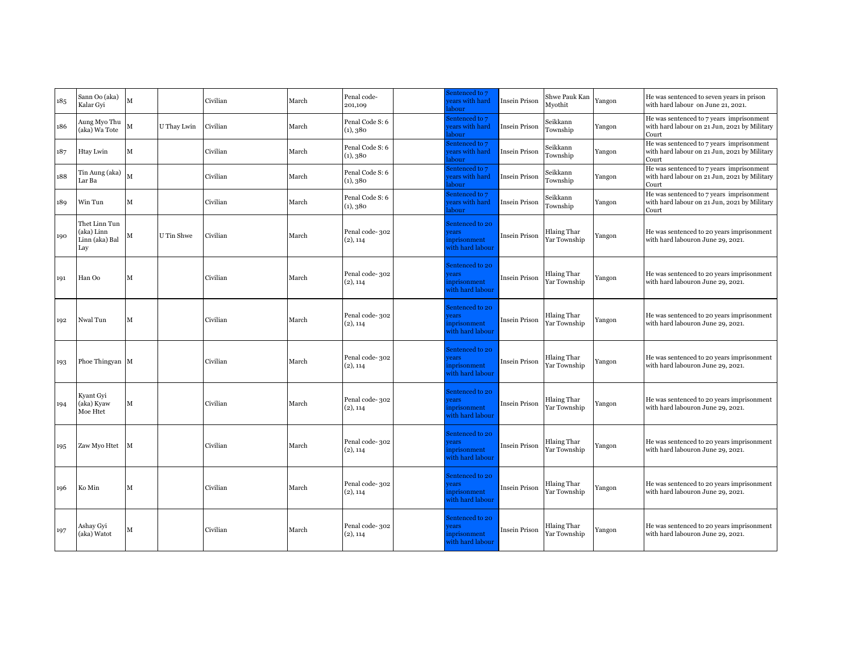| 185 | Sann Oo (aka)<br>Kalar Gvi                           | M                       |             | Civilian | March | Penal code-<br>201,109      | Sentenced to 7<br>ears with hard<br>abour                          | <b>Insein Prison</b> | Shwe Pauk Kan<br>Myothit           | Yangon | He was sentenced to seven years in prison<br>with hard labour on June 21, 2021.                   |
|-----|------------------------------------------------------|-------------------------|-------------|----------|-------|-----------------------------|--------------------------------------------------------------------|----------------------|------------------------------------|--------|---------------------------------------------------------------------------------------------------|
| 186 | Aung Myo Thu<br>(aka) Wa Tote                        | М                       | U Thay Lwin | Civilian | March | Penal Code S: 6<br>(1), 380 | Sentenced to 7<br>ears with hard<br>abour                          | Insein Prison        | Seikkann<br>Township               | Yangon | He was sentenced to 7 years imprisonment<br>with hard labour on 21 Jun, 2021 by Military<br>Court |
| 187 | Htay Lwin                                            | М                       |             | Civilian | March | Penal Code S: 6<br>(1), 380 | Sentenced to 7<br>ears with hard<br>abour                          | Insein Prison        | Seikkann<br>Township               | Yangon | He was sentenced to 7 years imprisonment<br>with hard labour on 21 Jun, 2021 by Military<br>Court |
| 188 | Tin Aung (aka)<br>Lar Ba                             | $\overline{\mathbf{M}}$ |             | Civilian | March | Penal Code S: 6<br>(1), 380 | Sentenced to 7<br>ears with hard<br>abour                          | Insein Prison        | Seikkann<br>Township               | Yangon | He was sentenced to 7 years imprisonment<br>with hard labour on 21 Jun, 2021 by Military<br>Court |
| 189 | Win Tun                                              | м                       |             | Civilian | March | Penal Code S: 6<br>(1), 380 | Sentenced to 7<br>vears with hard<br>abour                         | Insein Prison        | Seikkann<br>Township               | Yangon | He was sentenced to 7 years imprisonment<br>with hard labour on 21 Jun, 2021 by Military<br>Court |
| 190 | Thet Linn Tun<br>(aka) Linn<br>Linn (aka) Bal<br>Lay | М                       | U Tin Shwe  | Civilian | March | Penal code-302<br>(2), 114  | Sentenced to 20<br>rears<br>nprisonment<br>vith hard labour        | Insein Prison        | <b>Hlaing Thar</b><br>Yar Township | Yangon | He was sentenced to 20 years imprisonment<br>with hard labouron June 29, 2021.                    |
| 191 | Han Oo                                               | М                       |             | Civilian | March | Penal code-302<br>(2), 114  | Sentenced to 20<br>rears<br>nprisonment<br>vith hard labour        | Insein Prison        | <b>Hlaing Thar</b><br>Yar Township | Yangon | He was sentenced to 20 years imprisonment<br>with hard labouron June 29, 2021.                    |
| 192 | Nwal Tun                                             | М                       |             | Civilian | March | Penal code-302<br>(2), 114  | Sentenced to 20<br>rears<br>inprisonment<br>vith hard labour       | Insein Prison        | <b>Hlaing Thar</b><br>Yar Township | Yangon | He was sentenced to 20 years imprisonment<br>with hard labouron June 29, 2021.                    |
| 193 | Phoe Thingyan M                                      |                         |             | Civilian | March | Penal code-302<br>(2), 114  | Sentenced to 20<br>rears<br>nprisonment<br>vith hard labour        | Insein Prison        | <b>Hlaing Thar</b><br>Yar Township | Yangon | He was sentenced to 20 years imprisonment<br>with hard labouron June 29, 2021.                    |
| 194 | Kyant Gyi<br>(aka) Kyaw<br>Moe Htet                  | М                       |             | Civilian | March | Penal code-302<br>(2), 114  | Sentenced to 20<br>rears<br>nprisonment<br>vith hard labour        | <b>Insein Prison</b> | <b>Hlaing Thar</b><br>Yar Township | Yangon | He was sentenced to 20 years imprisonment<br>with hard labouron June 29, 2021.                    |
| 195 | Zaw Myo Htet                                         | м                       |             | Civilian | March | Penal code-302<br>(2), 114  | Sentenced to 20<br><i>rears</i><br>nprisonment<br>vith hard labour | Insein Prison        | <b>Hlaing Thar</b><br>Yar Township | Yangon | He was sentenced to 20 years imprisonment<br>with hard labouron June 29, 2021.                    |
| 196 | Ko Min                                               | М                       |             | Civilian | March | Penal code-302<br>(2), 114  | Sentenced to 20<br>rears<br>inprisonment<br>vith hard labour       | Insein Prison        | <b>Hlaing Thar</b><br>Yar Township | Yangon | He was sentenced to 20 years imprisonment<br>with hard labouron June 29, 2021.                    |
| 197 | Ashay Gyi<br>(aka) Watot                             | М                       |             | Civilian | March | Penal code-302<br>(2), 114  | Sentenced to 20<br><b>rears</b><br>nprisonment<br>vith hard labour | Insein Prison        | <b>Hlaing Thar</b><br>Yar Township | Yangon | He was sentenced to 20 years imprisonment<br>with hard labouron June 29, 2021.                    |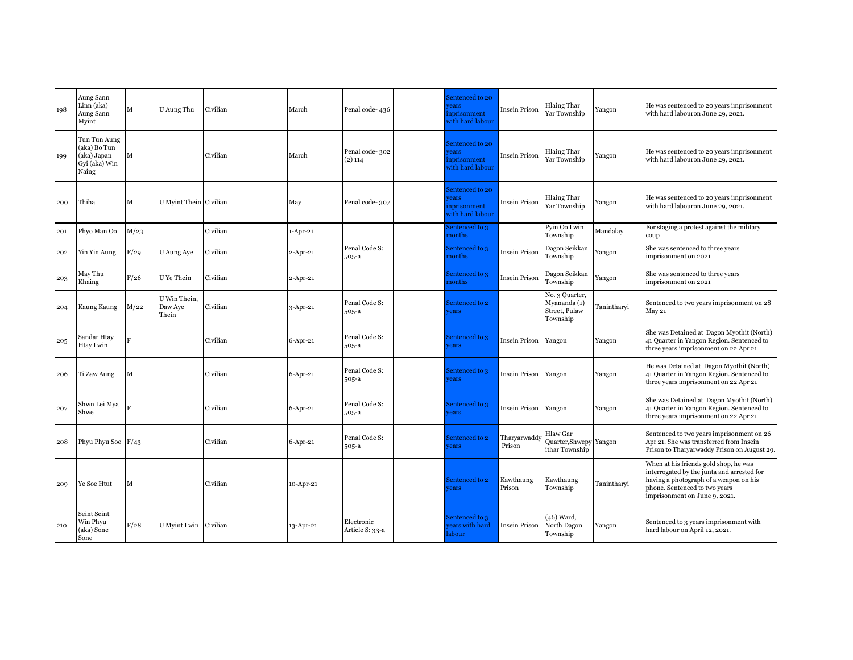| 198 | Aung Sann<br>Linn (aka)<br>Aung Sann<br>Myint                         | $\mathbf M$  | U Aung Thu                       | Civilian | March          | Penal code-436                | Sentenced to 20<br>ears<br>nprisonment<br>with hard labour  | Insein Prison         | <b>Hlaing Thar</b><br>Yar Township                          | Yangon      | He was sentenced to 20 years imprisonment<br>with hard labouron June 29, 2021.                                                                                                                  |
|-----|-----------------------------------------------------------------------|--------------|----------------------------------|----------|----------------|-------------------------------|-------------------------------------------------------------|-----------------------|-------------------------------------------------------------|-------------|-------------------------------------------------------------------------------------------------------------------------------------------------------------------------------------------------|
| 199 | Tun Tun Aung<br>(aka) Bo Tun<br>(aka) Japan<br>Gyi (aka) Win<br>Naing | $\mathbf{M}$ |                                  | Civilian | March          | Penal code-302<br>$(2)$ 114   | Sentenced to 20<br>ears<br>nprisonment<br>with hard labour  | <b>Insein Prison</b>  | <b>Hlaing Thar</b><br>Yar Township                          | Yangon      | He was sentenced to 20 years imprisonment<br>with hard labouron June 29, 2021.                                                                                                                  |
| 200 | Thiha                                                                 | M            | U Myint Thein Civilian           |          | May            | Penal code-307                | Sentenced to 20<br>rears<br>nprisonment<br>with hard labour | Insein Prison         | <b>Hlaing Thar</b><br>Yar Township                          | Yangon      | He was sentenced to 20 years imprisonment<br>with hard labouron June 29, 2021.                                                                                                                  |
| 201 | Phyo Man Oo                                                           | M/23         |                                  | Civilian | $1-Apr-21$     |                               | Sentenced to 3<br>nonths                                    |                       | Pyin Oo Lwin<br>Township                                    | Mandalay    | For staging a protest against the military<br>coup                                                                                                                                              |
| 202 | Yin Yin Aung                                                          | F/29         | U Aung Aye                       | Civilian | 2-Apr-21       | Penal Code S:<br>505-a        | Sentenced to 3<br>nonths                                    | Insein Prison         | Dagon Seikkan<br>Township                                   | Yangon      | She was sentenced to three years<br>imprisonment on 2021                                                                                                                                        |
| 203 | May Thu<br>Khaing                                                     | F/26         | U Ye Thein                       | Civilian | $2$ -Apr-21    |                               | Sentenced to 3<br>months                                    | Insein Prison         | Dagon Seikkan<br>Township                                   | Yangon      | She was sentenced to three years<br>imprisonment on 2021                                                                                                                                        |
| 204 | Kaung Kaung                                                           | M/22         | U Win Thein,<br>Daw Aye<br>Thein | Civilian | 3-Apr-21       | Penal Code S:<br>505-a        | Sentenced to 2<br>vears                                     |                       | No. 3 Quarter,<br>Myananda (1)<br>Street, Pulaw<br>Township | Tanintharyi | Sentenced to two years imprisonment on 28<br>May 21                                                                                                                                             |
| 205 | Sandar Htay<br>Htay Lwin                                              | R            |                                  | Civilian | $6$ -Apr-21    | Penal Code S:<br>505-a        | Sentenced to 3<br>rears                                     | Insein Prison         | Yangon                                                      | Yangon      | She was Detained at Dagon Myothit (North)<br>41 Quarter in Yangon Region. Sentenced to<br>three years imprisonment on 22 Apr 21                                                                 |
| 206 | Ti Zaw Aung                                                           | M            |                                  | Civilian | $6$ -Apr-21    | Penal Code S:<br>505-a        | Sentenced to 3<br>years                                     | Insein Prison         | Yangon                                                      | Yangon      | He was Detained at Dagon Myothit (North)<br>41 Quarter in Yangon Region. Sentenced to<br>three years imprisonment on 22 Apr 21                                                                  |
| 207 | Shwn Lei Mya<br>Shwe                                                  |              |                                  | Civilian | $6-$ Apr $-21$ | Penal Code S:<br>505-a        | Sentenced to 3<br>rears                                     | Insein Prison         | Yangon                                                      | Yangon      | She was Detained at Dagon Myothit (North)<br>41 Quarter in Yangon Region. Sentenced to<br>three years imprisonment on 22 Apr 21                                                                 |
| 208 | Phyu Phyu Soe $F/43$                                                  |              |                                  | Civilian | $6$ -Apr-21    | Penal Code S:<br>505-a        | Sentenced to 2<br>rears                                     | Tharvarwadd<br>Prison | Hlaw Gar<br>Quarter, Shwepy Yangon<br>ithar Township        |             | Sentenced to two years imprisonment on 26<br>Apr 21. She was transferred from Insein<br>Prison to Tharyarwaddy Prison on August 29.                                                             |
| 209 | Ye Soe Htut                                                           | M            |                                  | Civilian | 10-Apr-21      |                               | Sentenced to 2<br>years                                     | Kawthaung<br>Prison   | Kawthaung<br>Township                                       | Tanintharvi | When at his friends gold shop, he was<br>interrogated by the junta and arrested for<br>having a photograph of a weapon on his<br>phone. Sentenced to two years<br>imprisonment on June 9, 2021. |
| 210 | Seint Seint<br>Win Phyu<br>(aka) Sone<br>Sone                         | F/28         | U Myint Lwin                     | Civilian | 13-Apr-21      | Electronic<br>Article S: 33-a | Sentenced to 3<br>ears with hard<br>labour                  | Insein Prison         | (46) Ward,<br>North Dagon<br>Township                       | Yangon      | Sentenced to 3 years imprisonment with<br>hard labour on April 12, 2021.                                                                                                                        |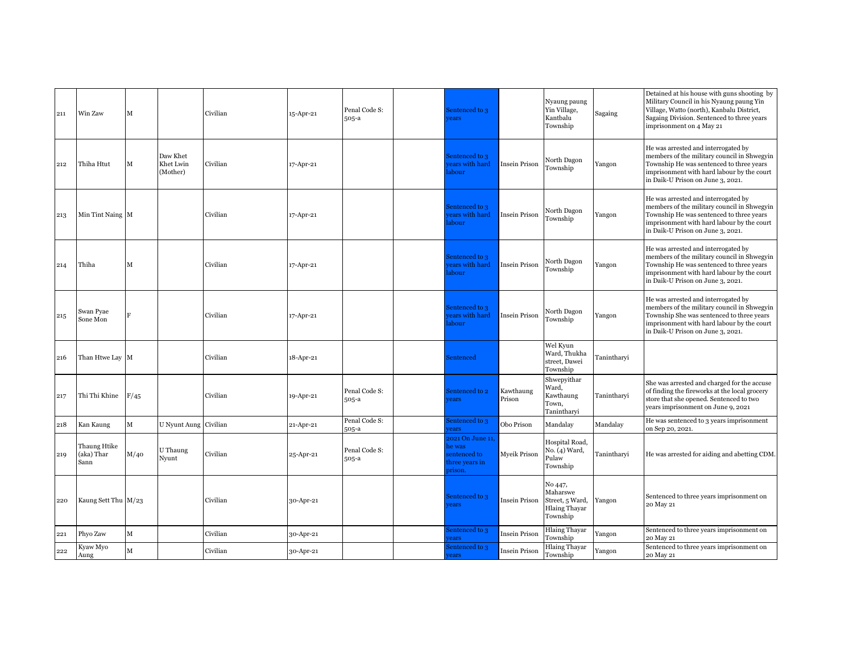| 211 | Win Zaw                            | м           |                                   | Civilian | 15-Apr-21 | Penal Code S:<br>505-a | Sentenced to 3<br>rears                                                |                      | Nyaung paung<br>Yin Village,<br>Kantbalu<br>Township                       | Sagaing     | Detained at his house with guns shooting by<br>Military Council in his Nyaung paung Yin<br>Village, Watto (north), Kanbalu District,<br>Sagaing Division. Sentenced to three years<br>imprisonment on 4 May 21     |
|-----|------------------------------------|-------------|-----------------------------------|----------|-----------|------------------------|------------------------------------------------------------------------|----------------------|----------------------------------------------------------------------------|-------------|--------------------------------------------------------------------------------------------------------------------------------------------------------------------------------------------------------------------|
| 212 | Thiha Htut                         | М           | Daw Khet<br>Khet Lwin<br>(Mother) | Civilian | 17-Apr-21 |                        | Sentenced to 3<br>ears with hard<br>abour                              | Insein Prison        | North Dagon<br>Township                                                    | Yangon      | He was arrested and interrogated by<br>members of the military council in Shwegyin<br>Township He was sentenced to three years<br>imprisonment with hard labour by the court<br>in Daik-U Prison on June 3, 2021.  |
| 213 | Min Tint Naing M                   |             |                                   | Civilian | 17-Apr-21 |                        | Sentenced to 3<br>ears with hard<br>abour                              | Insein Prison        | North Dagon<br>Township                                                    | Yangon      | He was arrested and interrogated by<br>members of the military council in Shwegyin<br>Township He was sentenced to three years<br>imprisonment with hard labour by the court<br>in Daik-U Prison on June 3, 2021.  |
| 214 | Thiha                              | м           |                                   | Civilian | 17-Apr-21 |                        | Sentenced to 3<br>ears with hard<br>abour                              | <b>Insein Prison</b> | North Dagon<br>Township                                                    | Yangon      | He was arrested and interrogated by<br>members of the military council in Shwegyin<br>Township He was sentenced to three years<br>imprisonment with hard labour by the court<br>in Daik-U Prison on June 3, 2021.  |
| 215 | Swan Pyae<br>Sone Mon              | R           |                                   | Civilian | 17-Apr-21 |                        | Sentenced to 3<br>ears with hard<br>abour                              | Insein Prison        | North Dagon<br>Township                                                    | Yangon      | He was arrested and interrogated by<br>members of the military council in Shwegyin<br>Township She was sentenced to three years<br>imprisonment with hard labour by the court<br>in Daik-U Prison on June 3, 2021. |
| 216 | Than Htwe Lay M                    |             |                                   | Civilian | 18-Apr-21 |                        | Sentenced                                                              |                      | Wel Kyun<br>Ward, Thukha<br>street, Dawei<br>Township                      | Tanintharvi |                                                                                                                                                                                                                    |
| 217 | Thi Thi Khine                      | F/45        |                                   | Civilian | 19-Apr-21 | Penal Code S:<br>505-a | Sentenced to 2<br>rears                                                | Kawthaung<br>Prison  | Shwepyithar<br>Ward.<br>Kawthaung<br>Town.<br>Tanintharyi                  | Tanintharyi | She was arrested and charged for the accuse<br>of finding the fireworks at the local grocery<br>store that she opened. Sentenced to two<br>years imprisonment on June 9, 2021                                      |
| 218 | Kan Kaung                          | M           | U Nyunt Aung Civilian             |          | 21-Apr-21 | Penal Code S:<br>505-a | sentenced to 3<br>rears                                                | Obo Prison           | Mandalay                                                                   | Mandalay    | He was sentenced to 3 years imprisonment<br>on Sep 20, 2021.                                                                                                                                                       |
| 219 | Thaung Htike<br>(aka) Thar<br>Sann | M/40        | U Thaung<br>Nyunt                 | Civilian | 25-Apr-21 | Penal Code S:<br>505-a | 2021 On June 11,<br>he was<br>entenced to<br>three vears in<br>prison. | Myeik Prison         | Hospital Road,<br>No. (4) Ward,<br>Pulaw<br>Township                       | Tanintharvi | He was arrested for aiding and abetting CDM.                                                                                                                                                                       |
| 220 | Kaung Sett Thu M/23                |             |                                   | Civilian | 30-Apr-21 |                        | Sentenced to 3<br>rears                                                | <b>Insein Prison</b> | No 447,<br>Maharswe<br>Street, 5 Ward,<br><b>Hlaing Thayar</b><br>Township | Yangon      | Sentenced to three years imprisonment on<br>20 May 21                                                                                                                                                              |
| 221 | Phyo Zaw                           | $\mathbf M$ |                                   | Civilian | 30-Apr-21 |                        | Sentenced to 3<br>ears                                                 | <b>Insein Prison</b> | Hlaing Thayar<br>Township                                                  | Yangon      | Sentenced to three years imprisonment on<br>20 May 21                                                                                                                                                              |
| 222 | Kyaw Myo<br>Aung                   | M           |                                   | Civilian | 30-Apr-21 |                        | Sentenced to 3<br>rears                                                | <b>Insein Prison</b> | <b>Hlaing Thayar</b><br>Township                                           | Yangon      | Sentenced to three years imprisonment on<br>20 May 21                                                                                                                                                              |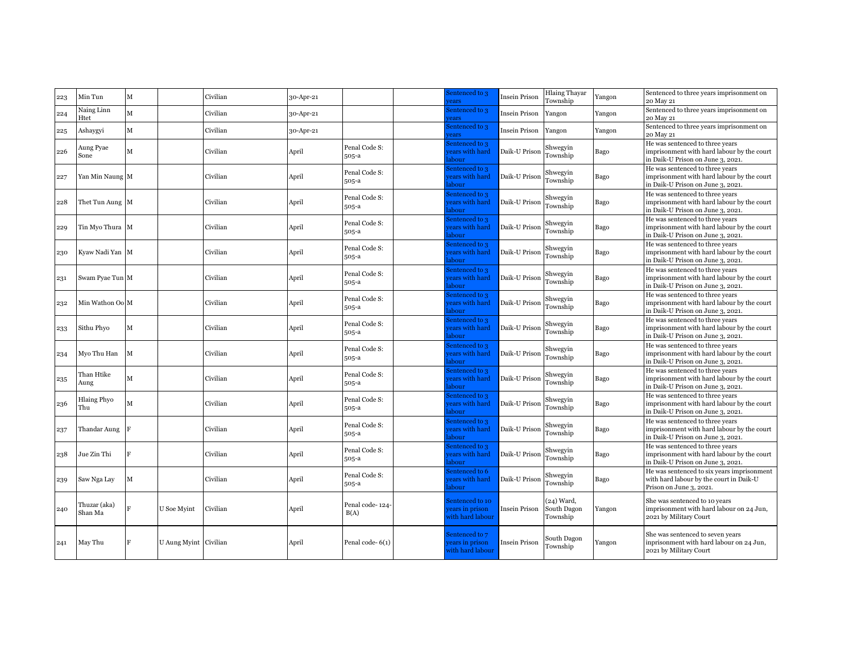| 223 | Min Tun                   | M |                       | Civilian | 30-Apr-21 |                         | sentenced to 3<br>ears                                | Insein Prison | <b>Hlaing Thayar</b><br>Township        | Yangon | Sentenced to three years imprisonment on<br>20 May 21                                                              |
|-----|---------------------------|---|-----------------------|----------|-----------|-------------------------|-------------------------------------------------------|---------------|-----------------------------------------|--------|--------------------------------------------------------------------------------------------------------------------|
| 224 | Naing Linn<br>Htet        | M |                       | Civilian | 30-Apr-21 |                         | sentenced to 3<br>ears                                | Insein Prison | Yangon                                  | Yangon | Sentenced to three years imprisonment on<br>20 May 21                                                              |
| 225 | Ashaygyi                  | М |                       | Civilian | 30-Apr-21 |                         | sentenced to 3<br>ears                                | Insein Prison | Yangon                                  | Yangon | Sentenced to three years imprisonment on<br>20 May 21                                                              |
| 226 | Aung Pyae<br>Sone         | м |                       | Civilian | April     | Penal Code S:<br>505-a  | entenced to 3<br>ears with hard<br>abour              | Daik-U Prison | Shwegyin<br>Township                    | Bago   | He was sentenced to three years<br>imprisonment with hard labour by the court<br>in Daik-U Prison on June 3, 2021. |
| 227 | Yan Min Naung M           |   |                       | Civilian | April     | Penal Code S:<br>505-a  | Sentenced to 3<br>ears with hard<br>abour             | Daik-U Prison | Shwegyin<br>Township                    | Bago   | He was sentenced to three years<br>imprisonment with hard labour by the court<br>in Daik-U Prison on June 3, 2021. |
| 228 | Thet Tun Aung M           |   |                       | Civilian | April     | Penal Code S:<br>505-a  | entenced to 3<br>ears with hard<br>abour              | Daik-U Prison | Shwegyin<br>Township                    | Bago   | He was sentenced to three years<br>imprisonment with hard labour by the court<br>in Daik-U Prison on June 3, 2021. |
| 229 | Tin Myo Thura M           |   |                       | Civilian | April     | Penal Code S:<br>505-a  | entenced to 3<br>ears with hard<br>abour              | Daik-U Prison | Shwegyin<br>Township                    | Bago   | He was sentenced to three years<br>imprisonment with hard labour by the court<br>in Daik-U Prison on June 3, 2021. |
| 230 | Kyaw Nadi Yan M           |   |                       | Civilian | April     | Penal Code S:<br>505-a  | entenced to 3<br>ears with hard<br>abour              | Daik-U Prison | Shwegyin<br>Township                    | Bago   | He was sentenced to three years<br>imprisonment with hard labour by the court<br>in Daik-U Prison on June 3, 2021. |
| 231 | Swam Pyae Tun M           |   |                       | Civilian | April     | Penal Code S:<br>505-a  | entenced to 3<br>ears with hard<br>abour              | Daik-U Prison | Shwegyin<br>Township                    | Bago   | He was sentenced to three years<br>imprisonment with hard labour by the court<br>in Daik-U Prison on June 3, 2021. |
| 232 | Min Wathon Oo M           |   |                       | Civilian | April     | Penal Code S:<br>505-a  | sentenced to 3<br>ears with hard<br>abour             | Daik-U Prison | Shwegyin<br>Township                    | Bago   | He was sentenced to three years<br>imprisonment with hard labour by the court<br>in Daik-U Prison on June 3, 2021. |
| 233 | Sithu Phyo                | м |                       | Civilian | April     | Penal Code S:<br>505-a  | entenced to 3<br>ears with hard<br>abour              | Daik-U Prison | Shwegyin<br>Township                    | Bago   | He was sentenced to three years<br>imprisonment with hard labour by the court<br>in Daik-U Prison on June 3, 2021. |
| 234 | Myo Thu Han               | M |                       | Civilian | April     | Penal Code S:<br>505-a  | entenced to 3<br>ears with hard<br>abour              | Daik-U Prison | Shwegyin<br>Township                    | Bago   | He was sentenced to three years<br>imprisonment with hard labour by the court<br>in Daik-U Prison on June 3, 2021. |
| 235 | Than Htike<br>Aung        | М |                       | Civilian | April     | Penal Code S:<br>505-a  | entenced to 3<br>ears with hard<br>abour              | Daik-U Prison | Shwegyin<br>Township                    | Bago   | He was sentenced to three years<br>imprisonment with hard labour by the court<br>in Daik-U Prison on June 3, 2021. |
| 236 | <b>Hlaing Phyo</b><br>Thu | м |                       | Civilian | April     | Penal Code S:<br>505-a  | entenced to 3<br>ears with hard<br>abour              | Daik-U Prison | Shwegyin<br>Township                    | Bago   | He was sentenced to three years<br>imprisonment with hard labour by the court<br>in Daik-U Prison on June 3, 2021. |
| 237 | Thandar Aung              |   |                       | Civilian | April     | Penal Code S:<br>505-a  | entenced to 3<br>ears with hard<br>abour              | Daik-U Prison | Shwegyin<br>Township                    | Bago   | He was sentenced to three years<br>imprisonment with hard labour by the court<br>in Daik-U Prison on June 3, 2021. |
| 238 | Jue Zin Thi               |   |                       | Civilian | April     | Penal Code S:<br>505-a  | entenced to 3<br>ears with hard<br>abour              | Daik-U Prison | Shwegyin<br>Township                    | Bago   | He was sentenced to three years<br>imprisonment with hard labour by the court<br>in Daik-U Prison on June 3, 2021. |
| 239 | Saw Nga Lay               | М |                       | Civilian | April     | Penal Code S:<br>505-a  | entenced to 6<br>ears with hard<br>abour              | Daik-U Prison | Shwegyin<br>Township                    | Bago   | He was sentenced to six years imprisonment<br>with hard labour by the court in Daik-U<br>Prison on June 3, 2021.   |
| 240 | Thuzar (aka)<br>Shan Ma   |   | U Soe Myint           | Civilian | April     | Penal code-124-<br>B(A) | Sentenced to 10<br>ears in prison<br>vith hard labour | Insein Prison | $(24)$ Ward,<br>South Dagon<br>Township | Yangon | She was sentenced to 10 years<br>imprisonment with hard labour on 24 Jun,<br>2021 by Military Court                |
| 241 | May Thu                   |   | U Aung Myint Civilian |          | April     | Penal code-6(1)         | Sentenced to 7<br>ears in prison<br>with hard labour  | Insein Prison | South Dagon<br>Township                 | Yangon | She was sentenced to seven years<br>inprisonment with hard labour on 24 Jun,<br>2021 by Military Court             |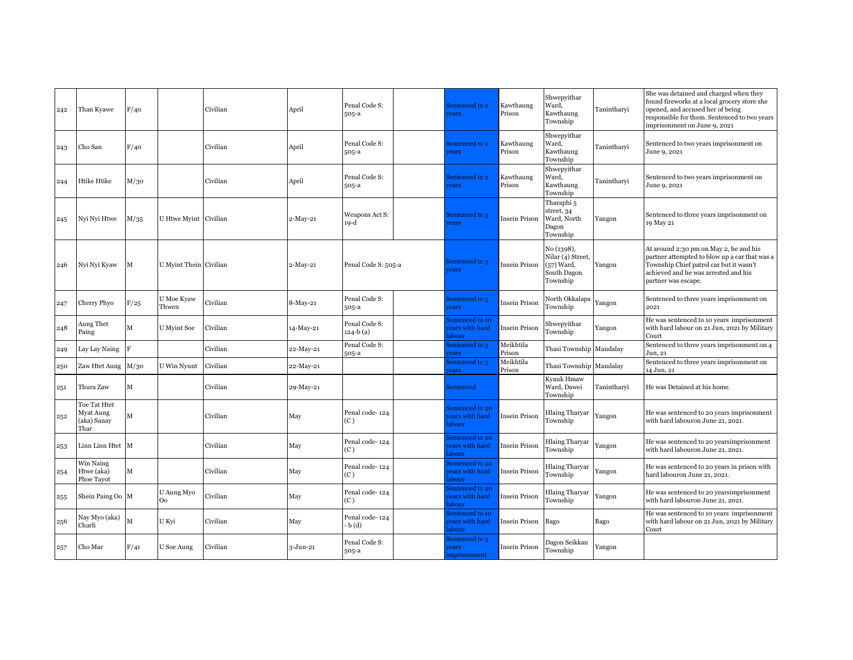| 242 | Than Kyawe                                       | F/40 |                        | Civilian | April     | Penal Code S:<br>505-a     | Sentenced to 2<br>rears                       | Kawthaung<br>Prison  | Shwepyithar<br>Ward,<br>Kawthaung<br>Township                              | Tanintharvi | She was detained and charged when they<br>found fireworks at a local grocery store she<br>opened, and accused her of being<br>responsible for them. Sentenced to two years<br>imprisonment on June 9, 2021 |
|-----|--------------------------------------------------|------|------------------------|----------|-----------|----------------------------|-----------------------------------------------|----------------------|----------------------------------------------------------------------------|-------------|------------------------------------------------------------------------------------------------------------------------------------------------------------------------------------------------------------|
| 243 | Cho San                                          | F/40 |                        | Civilian | April     | Penal Code S:<br>$505-a$   | Sentenced to 2<br><b>rears</b>                | Kawthaung<br>Prison  | Shwepyithar<br>Ward,<br>Kawthaung<br>Township                              | Tanintharyi | Sentenced to two years imprisonment on<br>June 9, 2021                                                                                                                                                     |
| 244 | Htike Htike                                      | M/30 |                        | Civilian | April     | Penal Code S:<br>$505-a$   | Sentenced to 2<br><b>rears</b>                | Kawthaung<br>Prison  | Shwepyithar<br>Ward,<br>Kawthaung<br>Township                              | Tanintharyi | Sentenced to two years imprisonment on<br>June 9, 2021                                                                                                                                                     |
| 245 | Nyi Nyi Htwe                                     | M/35 | U Htwe Myint Civilian  |          | 2-May-21  | Weapons Act S:<br>19-d     | Sentenced to 3<br><i>rears</i>                | Insein Prison        | Tharaphi <sub>5</sub><br>street, 34<br>Ward, North<br>Dagon<br>Township    | Yangon      | Sentenced to three years imprisonment on<br>19 May 21                                                                                                                                                      |
| 246 | Nyi Nyi Kyaw                                     | M    | U Myint Thein Civilian |          | 2-May-21  | Penal Code S: 505-a        | Sentenced to 3<br><b>rears</b>                | Insein Prison        | No (1398),<br>Nilar (4) Street,<br>$(57)$ Ward,<br>South Dagon<br>Township | Yangon      | At around 2:30 pm on May 2, he and his<br>partner attempted to blow up a car that was a<br>Township Chief patrol car but it wasn't<br>achieved and he was arrested and his<br>partner was escape.          |
| 247 | Cherry Phyo                                      | F/25 | U Moe Kyaw<br>Thwen    | Civilian | 8-May-21  | Penal Code S:<br>505-a     | 3 Sentenced to<br>rears                       | Insein Prison        | North Okkalapa<br>Township                                                 | Yangon      | Sentenced to three years imprisonment on<br>2021                                                                                                                                                           |
| 248 | Aung Thet<br>Paing                               | М    | U Myint Soe            | Civilian | 4-May-21  | Penal Code S:<br>124-b (a) | entenced to 10<br>ears with hard<br>abour     | Insein Prison        | Shwepyithar<br>Township                                                    | Yangon      | He was sentenced to 10 years imprisonment<br>with hard labour on 21 Jun, 2021 by Military<br>Court                                                                                                         |
| 249 | Lay Lay Naing                                    | F    |                        | Civilian | 22-May-21 | Penal Code S:<br>505-a     | sentenced to 3<br>ears                        | Meikhtila<br>Prison  | Thasi Township Mandalay                                                    |             | Sentenced to three years imprisonment on 4<br>Jun, 21                                                                                                                                                      |
| 250 | Zaw Htet Aung                                    | M/30 | U Win Nyunt            | Civilian | 22-May-21 |                            | sentenced to 3<br>ears                        | Meikhtila<br>Prison  | Thasi Township Mandalay                                                    |             | Sentenced to three years imprisonment on<br>14 Jun, 21                                                                                                                                                     |
| 251 | Thura Zaw                                        | M    |                        | Civilian | 29-May-21 |                            | Sentenced                                     |                      | Kyauk Hmaw<br>Ward, Dawei<br>Township                                      | Tanintharyi | He was Detained at his home.                                                                                                                                                                               |
| 252 | Toe Tat Htet<br>Myat Aung<br>(aka) Sanay<br>Thar | M    |                        | Civilian | May       | Penal code-124<br>(C)      | entenced to 20<br>ears with hard<br>abour     | Insein Prison        | Hlaing Tharyar<br>Township                                                 | Yangon      | He was sentenced to 20 years imprisonment<br>with hard labouron June 21, 2021.                                                                                                                             |
| 253 | Linn Linn Htet M                                 |      |                        | Civilian | May       | Penal code-124<br>(C)      | entenced to 20<br>ears with hard<br>abour     | Insein Prison        | <b>Hlaing Tharyar</b><br>Township                                          | Yangon      | He was sentenced to 20 yearsimprisonment<br>with hard labouron June 21, 2021.                                                                                                                              |
| 254 | Win Naing<br>Htwe (aka)<br>Phoe Tavot            | M    |                        | Civilian | May       | Penal code-124<br>(C)      | entenced to 20<br>ears with hard<br>abour     | Insein Prison        | Hlaing Tharyar<br>Township                                                 | Yangon      | He was sentenced to 20 years in prison with<br>hard labouron June 21, 2021.                                                                                                                                |
| 255 | Shein Paing Oo M                                 |      | U Aung Myo<br>Oo       | Civilian | May       | Penal code-124<br>(C)      | entenced to 20<br>ears with hard<br>abour     | Insein Prison        | <b>Hlaing Tharyar</b><br>Township                                          | Yangon      | He was sentenced to 20 years imprisonment<br>with hard labouron June 21, 2021.                                                                                                                             |
| 256 | Nay Myo (aka)<br>Charli                          | M    | U Kyi                  | Civilian | May       | Penal code-124<br>b(d)     | entenced to 10<br>ears with hard<br>abour     | Insein Prison        | Bago                                                                       | Bago        | He was sentenced to 10 years imprisonment<br>with hard labour on 21 Jun, 2021 by Military<br>Court                                                                                                         |
| 257 | Cho Mar                                          | F/41 | U Soe Aung             | Civilian | 3-Jun-21  | Penal Code S:<br>505-a     | Sentenced to 3<br><i>rears</i><br>mprisonment | <b>Insein Prison</b> | Dagon Seikkan<br>Township                                                  | Yangon      |                                                                                                                                                                                                            |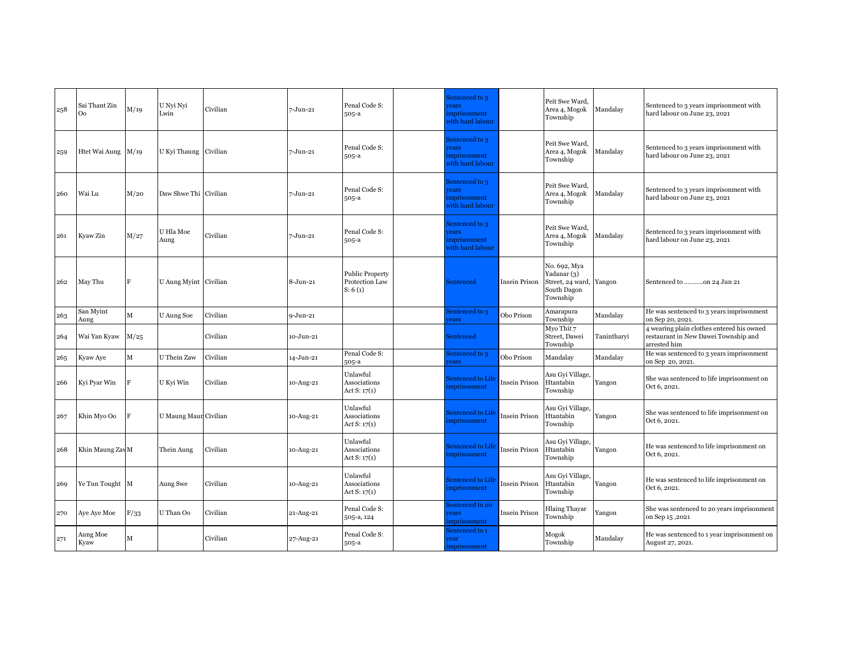| $\sqrt{258}$ | Sai Thant Zin<br>O <sub>0</sub> | M/19 | U Nyi Nyi<br>Lwin     | Civilian | 7-Jun-21     | Penal Code S:<br>505-a                              | Sentenced to 3<br>vears<br>imprisonment<br>with hard labour        |                      | Peit Swe Ward,<br>Area 4, Mogok<br>Township                                | Mandalay    | Sentenced to 3 years imprisonment with<br>hard labour on June 23, 2021                            |
|--------------|---------------------------------|------|-----------------------|----------|--------------|-----------------------------------------------------|--------------------------------------------------------------------|----------------------|----------------------------------------------------------------------------|-------------|---------------------------------------------------------------------------------------------------|
| 259          | Htet Wai Aung M/19              |      | U Kyi Thaung Civilian |          | 7-Jun-21     | Penal Code S:<br>505-a                              | Sentenced to 3<br><b>rears</b><br>imprisonment<br>with hard labour |                      | Peit Swe Ward.<br>Area 4, Mogok<br>Township                                | Mandalay    | Sentenced to 3 years imprisonment with<br>hard labour on June 23, 2021                            |
| 260          | Wai Lu                          | M/20 | Daw Shwe Thi Civilian |          | 7-Jun-21     | Penal Code S:<br>505-a                              | Sentenced to 3<br>rears<br>imprisonment<br>with hard labour        |                      | Peit Swe Ward,<br>Area 4, Mogok<br>Township                                | Mandalay    | Sentenced to 3 years imprisonment with<br>hard labour on June 23, 2021                            |
| 261          | Kyaw Zin                        | M/27 | U Hla Moe<br>Aung     | Civilian | 7-Jun-21     | Penal Code S:<br>505-a                              | Sentenced to 3<br>rears<br>mprisonment<br>with hard labour         |                      | Peit Swe Ward.<br>Area 4, Mogok<br>Township                                | Mandalay    | Sentenced to 3 years imprisonment with<br>hard labour on June 23, 2021                            |
| 262          | May Thu                         | F    | U Aung Myint Civilian |          | 8-Jun-21     | <b>Public Property</b><br>Protection Law<br>S: 6(1) | Sentenced                                                          | <b>Insein Prison</b> | No. 692, Mya<br>Yadanar (3)<br>Street, 24 ward,<br>South Dagon<br>Township | Yangon      | Sentenced to on 24 Jun 21                                                                         |
| 263          | San Myint<br>Aung               | М    | U Aung Soe            | Civilian | $9 - Jun-21$ |                                                     | Sentenced to 3<br>ears                                             | Obo Prison           | Amarapura<br>Township                                                      | Mandalay    | He was sentenced to 3 years imprisonment<br>on Sep 20, 2021.                                      |
| 264          | Wai Yan Kyaw                    | M/25 |                       | Civilian | 10-Jun-21    |                                                     | Sentenced                                                          |                      | Myo Thit 7<br>Street, Dawei<br>Township                                    | Tanintharyi | 4 wearing plain clothes entered his owned<br>restaurant in New Dawei Township and<br>arrested him |
| 265          | Kyaw Aye                        | M    | U Thein Zaw           | Civilian | 14-Jun-21    | Penal Code S:<br>505-a                              | Sentenced to 3<br>ears                                             | Obo Prison           | Mandalay                                                                   | Mandalay    | He was sentenced to 3 years imprisonment<br>on Sep 20, 2021.                                      |
| 266          | Kyi Pyar Win                    | F    | U Kyi Win             | Civilian | 10-Aug-21    | Unlawful<br>Associations<br>Act $S: 17(1)$          | Sentenced to Life<br>mprisonment                                   | Insein Prison        | Asu Gyi Village,<br>Htantabin<br>Township                                  | Yangon      | She was sentenced to life imprisonment on<br>Oct 6, 2021.                                         |
| 267          | Khin Myo Oo                     | F    | U Maung Maun Civilian |          | 10-Aug-21    | Unlawful<br>Associations<br>Act $S: 17(1)$          | Sentenced to Life<br>imprisonment                                  | Insein Prison        | Asu Gyi Village,<br>Htantabin<br>Township                                  | Yangon      | She was sentenced to life imprisonment on<br>Oct 6, 2021.                                         |
| 268          | Khin Maung Zav M                |      | Thein Aung            | Civilian | 10-Aug-21    | Unlawful<br>Associations<br>Act $S: 17(1)$          | Sentenced to Life<br>mprisonment                                   | Insein Prison        | Asu Gyi Village,<br>Htantabin<br>Township                                  | Yangon      | He was sentenced to life imprisonment on<br>Oct 6, 2021.                                          |
| 269          | Ye Tun Tought M                 |      | Aung Swe              | Civilian | 10-Aug-21    | Unlawful<br>Associations<br>Act $S: 17(1)$          | Sentenced to Life<br>imprisonment                                  | Insein Prison        | Asu Gyi Village,<br>Htantabin<br>Township                                  | Yangon      | He was sentenced to life imprisonment on<br>Oct 6, 2021.                                          |
| 270          | Aye Aye Moe                     | F/33 | U Than Oo             | Civilian | 21-Aug-21    | Penal Code S:<br>505-a, 124                         | Sentenced to 20<br><b>rears</b><br>mprisonment                     | Insein Prison        | <b>Hlaing Thayar</b><br>Township                                           | Yangon      | She was sentenced to 20 years imprisonment<br>on Sep 15,2021                                      |
| 271          | Aung Moe<br>Kyaw                | м    |                       | Civilian | 27-Aug-21    | Penal Code S:<br>505-a                              | Sentenced to 1<br>ear<br>imprisonment                              |                      | Mogok<br>Township                                                          | Mandalay    | He was sentenced to 1 year imprisonment on<br>August 27, 2021.                                    |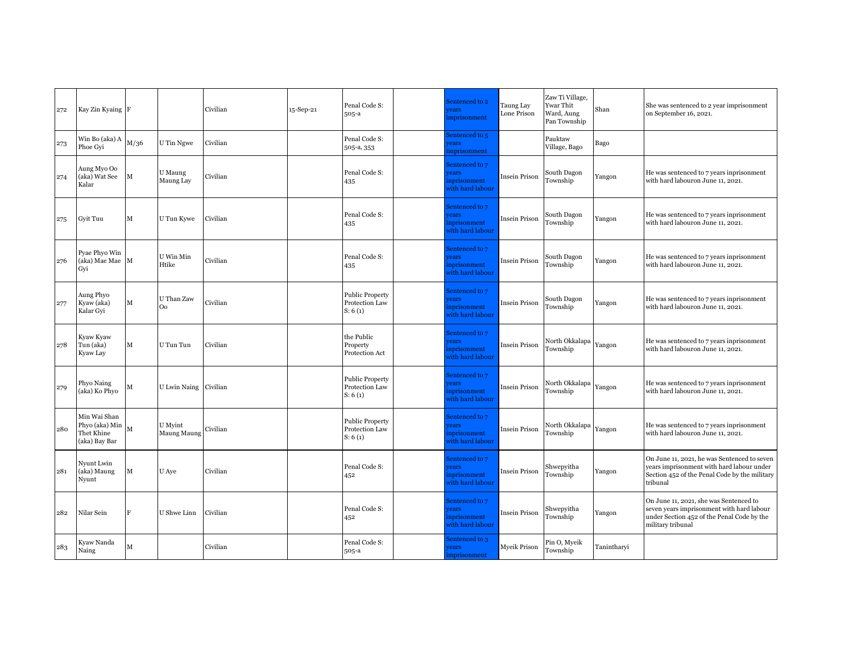| 272 | Kay Zin Kyaing F                                                              |      |                              | Civilian | 15-Sep-21 | Penal Code S:<br>$505-a$                            | Sentenced to 2<br>rears<br>mprisonment                             | Taung Lay<br>Lone Prison | Zaw Ti Village,<br>Ywar Thit<br>Ward, Aung<br>Pan Township | Shan        | She was sentenced to 2 year imprisonment<br>on September 16, 2021.                                                                                     |
|-----|-------------------------------------------------------------------------------|------|------------------------------|----------|-----------|-----------------------------------------------------|--------------------------------------------------------------------|--------------------------|------------------------------------------------------------|-------------|--------------------------------------------------------------------------------------------------------------------------------------------------------|
| 273 | Win Bo (aka) A<br>Phoe Gvi                                                    | M/36 | U Tin Ngwe                   | Civilian |           | Penal Code S:<br>505-a, 353                         | Sentenced to 5<br>rears<br>inprisonment                            |                          | Pauktaw<br>Village, Bago                                   | Bago        |                                                                                                                                                        |
| 274 | Aung Myo Oo<br>(aka) Wat See<br>Kalar                                         | М    | U Maung<br>Maung Lay         | Civilian |           | Penal Code S:<br>435                                | Sentenced to 7<br>rears<br>nprisonment<br>with hard labour         | Insein Prison            | South Dagon<br>Township                                    | Yangon      | He was sentenced to 7 years inprisonment<br>with hard labouron June 11, 2021.                                                                          |
| 275 | Gyit Tuu                                                                      | М    | U Tun Kywe                   | Civilian |           | Penal Code S:<br>435                                | Sentenced to 7<br>rears<br>nprisonment<br>with hard labour         | Insein Prison            | South Dagon<br>Township                                    | Yangon      | He was sentenced to 7 years inprisonment<br>with hard labouron June 11, 2021.                                                                          |
| 276 | Pyae Phyo Win<br>(aka) Mae Mae M<br>Gyi                                       |      | $\rm U$ Win Min<br>Htike     | Civilian |           | Penal Code S:<br>435                                | Sentenced to 7<br><i>rears</i><br>inprisonment<br>vith hard labour | Insein Prison            | South Dagon<br>Township                                    | Yangon      | He was sentenced to 7 years inprisonment<br>with hard labouron June 11, 2021.                                                                          |
| 277 | Aung Phyo<br>Kyaw (aka)<br>Kalar Gyi                                          | М    | U Than Zaw<br>O <sub>o</sub> | Civilian |           | <b>Public Property</b><br>Protection Law<br>S: 6(1) | Sentenced to 7<br><b>rears</b><br>nprisonment<br>with hard labour  | Insein Prison            | South Dagon<br>Township                                    | Yangon      | He was sentenced to 7 years inprisonment<br>with hard labouron June 11, 2021.                                                                          |
| 278 | Kyaw Kyaw<br>Tun (aka)<br>Kyaw Lay                                            | М    | U Tun Tun                    | Civilian |           | the Public<br>Property<br>Protection Act            | Sentenced to 7<br>rears<br>nprisonment<br>with hard labour         | Insein Prison            | North Okkalapa<br>Township                                 | Yangon      | He was sentenced to 7 years inprisonment<br>with hard labouron June 11, 2021.                                                                          |
| 279 | Phyo Naing<br>(aka) Ko Phyo                                                   | М    | U Lwin Naing Civilian        |          |           | <b>Public Property</b><br>Protection Law<br>S: 6(1) | Sentenced to 7<br>rears<br>inprisonment<br>with hard labour        | Insein Prison            | North Okkalapa<br>Township                                 | Yangon      | He was sentenced to 7 years inprisonment<br>with hard labouron June 11, 2021.                                                                          |
| 280 | Min Wai Shan<br>Phyo (aka) Min $\big _{\rm M}$<br>Thet Khine<br>(aka) Bay Bar |      | U Myint<br>Maung Maung       | Civilian |           | <b>Public Property</b><br>Protection Law<br>S: 6(1) | Sentenced to 7<br><b>rears</b><br>nprisonment<br>vith hard labour  | Insein Prison            | North Okkalapa<br>Township                                 | Yangon      | He was sentenced to 7 years inprisonment<br>with hard labouron June 11, 2021.                                                                          |
| 281 | Nyunt Lwin<br>(aka) Maung<br>Nyunt                                            | М    | U Aye                        | Civilian |           | Penal Code S:<br>452                                | Sentenced to 7<br>rears<br>inprisonment<br>with hard labour        | Insein Prison            | Shwepyitha<br>Township                                     | Yangon      | On June 11, 2021, he was Sentenced to seven<br>years imprisonment with hard labour under<br>Section 452 of the Penal Code by the military<br>tribunal  |
| 282 | Nilar Sein                                                                    | F    | U Shwe Linn                  | Civilian |           | Penal Code S:<br>452                                | Sentenced to 7<br>rears<br>inprisonment<br>with hard labour        | Insein Prison            | Shwepyitha<br>Township                                     | Yangon      | On June 11, 2021, she was Sentenced to<br>seven years imprisonment with hard labour<br>under Section 452 of the Penal Code by the<br>military tribunal |
| 283 | Kyaw Nanda<br>Naing                                                           | М    |                              | Civilian |           | Penal Code S:<br>505-a                              | sentenced to 3<br>vears<br>imprisonment                            | Myeik Prison             | Pin O, Myeik<br>Township                                   | Tanintharvi |                                                                                                                                                        |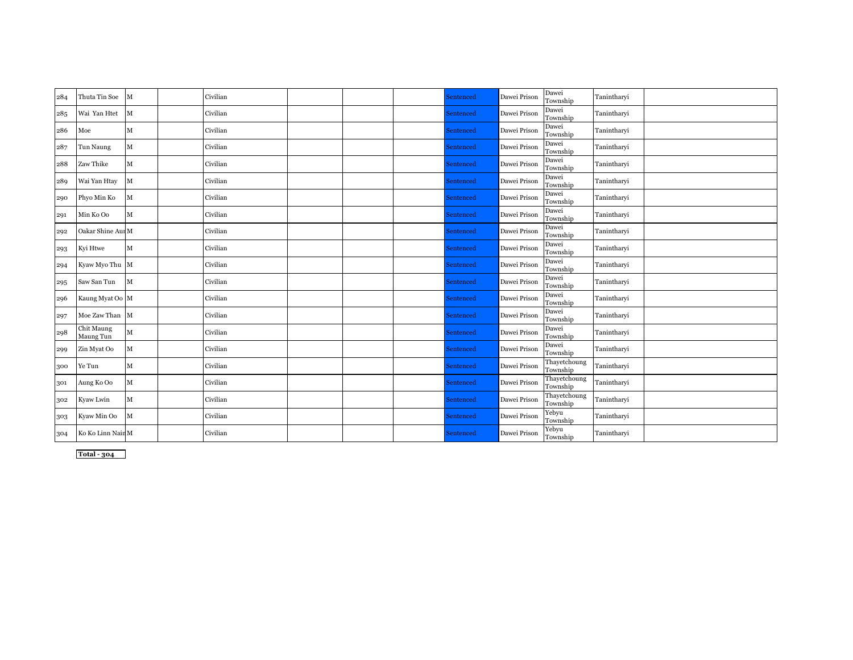| 284 | Thuta Tin Soe           | M            | Civilian |  | Sentenced | Dawei Prison | Dawei<br>Township        | Tanintharyi |  |
|-----|-------------------------|--------------|----------|--|-----------|--------------|--------------------------|-------------|--|
| 285 | Wai Yan Htet            | M            | Civilian |  | Sentenced | Dawei Prison | Dawei<br>Township        | Tanintharyi |  |
| 286 | Moe                     | $\mathbf{M}$ | Civilian |  | Sentenced | Dawei Prison | Dawei<br>Township        | Tanintharyi |  |
| 287 | Tun Naung               | $\mathbf M$  | Civilian |  | Sentenced | Dawei Prison | Dawei<br>Township        | Tanintharyi |  |
| 288 | Zaw Thike               | $\mathbf{M}$ | Civilian |  | Sentenced | Dawei Prison | Dawei<br>Township        | Tanintharyi |  |
| 289 | Wai Yan Htay            | M            | Civilian |  | Sentenced | Dawei Prison | Dawei<br>Township        | Tanintharyi |  |
| 290 | Phyo Min Ko             | M            | Civilian |  | Sentenced | Dawei Prison | Dawei<br>Township        | Tanintharyi |  |
| 291 | Min Ko Oo               | $\mathbf M$  | Civilian |  | Sentenced | Dawei Prison | Dawei<br>Township        | Tanintharyi |  |
| 292 | Oakar Shine Aur M       |              | Civilian |  | Sentenced | Dawei Prison | Dawei<br>Township        | Tanintharvi |  |
| 293 | Kyi Htwe                | $\mathbf{M}$ | Civilian |  | Sentenced | Dawei Prison | Dawei<br>Township        | Tanintharyi |  |
| 294 | Kyaw Myo Thu M          |              | Civilian |  | Sentenced | Dawei Prison | Dawei<br>Township        | Tanintharyi |  |
| 295 | Saw San Tun             | M            | Civilian |  | Sentenced | Dawei Prison | Dawei<br>Township        | Tanintharyi |  |
| 296 | Kaung Myat Oo M         |              | Civilian |  | Sentenced | Dawei Prison | Dawei<br>Township        | Tanintharyi |  |
| 297 | Moe Zaw Than M          |              | Civilian |  | Sentenced | Dawei Prison | Dawei<br>Township        | Tanintharyi |  |
| 298 | Chit Maung<br>Maung Tun | $\mathbf M$  | Civilian |  | Sentenced | Dawei Prison | Dawei<br>Township        | Tanintharvi |  |
| 299 | Zin Myat Oo             | $\mathbf{M}$ | Civilian |  | Sentenced | Dawei Prison | Dawei<br>Township        | Tanintharyi |  |
| 300 | Ye Tun                  | $\mathbf M$  | Civilian |  | Sentenced | Dawei Prison | Thayetchoung<br>Township | Tanintharyi |  |
| 301 | Aung Ko Oo              | $\mathbf{M}$ | Civilian |  | Sentenced | Dawei Prison | Thayetchoung<br>Township | Tanintharyi |  |
| 302 | Kyaw Lwin               | $\mathbf{M}$ | Civilian |  | Sentenced | Dawei Prison | Thayetchoung<br>Township | Tanintharyi |  |
| 303 | Kyaw Min Oo             | $\mathbf M$  | Civilian |  | Sentenced | Dawei Prison | Yebyu<br>Township        | Tanintharyi |  |
| 304 | Ko Ko Linn Nain M       |              | Civilian |  | Sentenced | Dawei Prison | Yebyu<br>Township        | Tanintharyi |  |

**Total - 304**